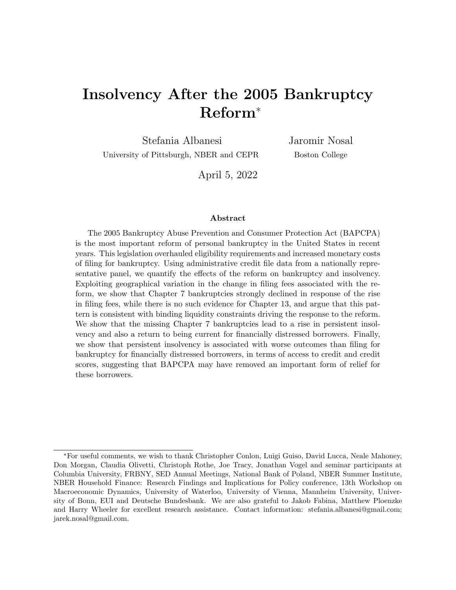# Insolvency After the 2005 Bankruptcy Reform<sup>∗</sup>

Stefania Albanesi University of Pittsburgh, NBER and CEPR Jaromir Nosal Boston College

April 5, 2022

#### Abstract

The 2005 Bankruptcy Abuse Prevention and Consumer Protection Act (BAPCPA) is the most important reform of personal bankruptcy in the United States in recent years. This legislation overhauled eligibility requirements and increased monetary costs of filing for bankruptcy. Using administrative credit file data from a nationally representative panel, we quantify the effects of the reform on bankruptcy and insolvency. Exploiting geographical variation in the change in filing fees associated with the reform, we show that Chapter 7 bankruptcies strongly declined in response of the rise in filing fees, while there is no such evidence for Chapter 13, and argue that this pattern is consistent with binding liquidity constraints driving the response to the reform. We show that the missing Chapter 7 bankruptcies lead to a rise in persistent insolvency and also a return to being current for financially distressed borrowers. Finally, we show that persistent insolvency is associated with worse outcomes than filing for bankruptcy for financially distressed borrowers, in terms of access to credit and credit scores, suggesting that BAPCPA may have removed an important form of relief for these borrowers.

<sup>∗</sup>For useful comments, we wish to thank Christopher Conlon, Luigi Guiso, David Lucca, Neale Mahoney, Don Morgan, Claudia Olivetti, Christoph Rothe, Joe Tracy, Jonathan Vogel and seminar participants at Columbia University, FRBNY, SED Annual Meetings, National Bank of Poland, NBER Summer Institute, NBER Household Finance: Research Findings and Implications for Policy conference, 13th Workshop on Macroeconomic Dynamics, University of Waterloo, University of Vienna, Mannheim University, University of Bonn, EUI and Deutsche Bundesbank. We are also grateful to Jakob Fabina, Matthew Ploenzke and Harry Wheeler for excellent research assistance. Contact information: stefania.albanesi@gmail.com; jarek.nosal@gmail.com.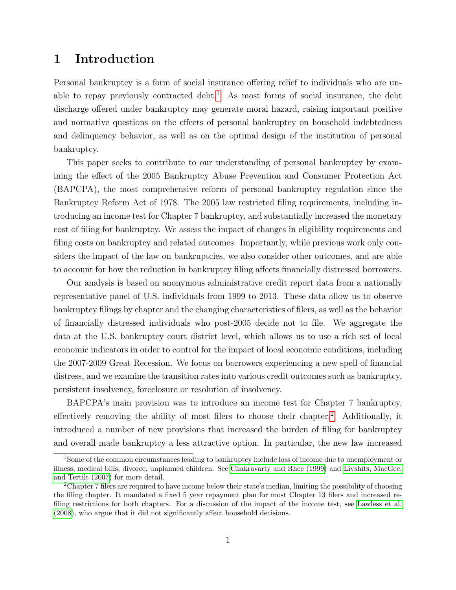# 1 Introduction

Personal bankruptcy is a form of social insurance offering relief to individuals who are un-able to repay previously contracted debt.<sup>[1](#page-1-0)</sup> As most forms of social insurance, the debt discharge offered under bankruptcy may generate moral hazard, raising important positive and normative questions on the effects of personal bankruptcy on household indebtedness and delinquency behavior, as well as on the optimal design of the institution of personal bankruptcy.

This paper seeks to contribute to our understanding of personal bankruptcy by examining the effect of the 2005 Bankruptcy Abuse Prevention and Consumer Protection Act (BAPCPA), the most comprehensive reform of personal bankruptcy regulation since the Bankruptcy Reform Act of 1978. The 2005 law restricted filing requirements, including introducing an income test for Chapter 7 bankruptcy, and substantially increased the monetary cost of filing for bankruptcy. We assess the impact of changes in eligibility requirements and filing costs on bankruptcy and related outcomes. Importantly, while previous work only considers the impact of the law on bankruptcies, we also consider other outcomes, and are able to account for how the reduction in bankruptcy filing affects financially distressed borrowers.

Our analysis is based on anonymous administrative credit report data from a nationally representative panel of U.S. individuals from 1999 to 2013. These data allow us to observe bankruptcy filings by chapter and the changing characteristics of filers, as well as the behavior of financially distressed individuals who post-2005 decide not to file. We aggregate the data at the U.S. bankruptcy court district level, which allows us to use a rich set of local economic indicators in order to control for the impact of local economic conditions, including the 2007-2009 Great Recession. We focus on borrowers experiencing a new spell of financial distress, and we examine the transition rates into various credit outcomes such as bankruptcy, persistent insolvency, foreclosure or resolution of insolvency.

BAPCPA's main provision was to introduce an income test for Chapter 7 bankruptcy, effectively removing the ability of most filers to choose their chapter.<sup>[2](#page-1-1)</sup> Additionally, it introduced a number of new provisions that increased the burden of filing for bankruptcy and overall made bankruptcy a less attractive option. In particular, the new law increased

<span id="page-1-0"></span><sup>&</sup>lt;sup>1</sup>Some of the common circumstances leading to bankruptcy include loss of income due to unemployment or illness, medical bills, divorce, unplanned children. See [Chakravarty and Rhee \(1999\)](#page-32-0) and [Livshits, MacGee,](#page-34-0) [and Tertilt \(2007\)](#page-34-0) for more detail.

<span id="page-1-1"></span><sup>&</sup>lt;sup>2</sup>Chapter 7 filers are required to have income below their state's median, limiting the possibility of choosing the filing chapter. It mandated a fixed 5 year repayment plan for most Chapter 13 filers and increased refiling restrictions for both chapters. For a discussion of the impact of the income test, see [Lawless et al.](#page-34-1) [\(2008\)](#page-34-1), who argue that it did not significantly affect household decisions.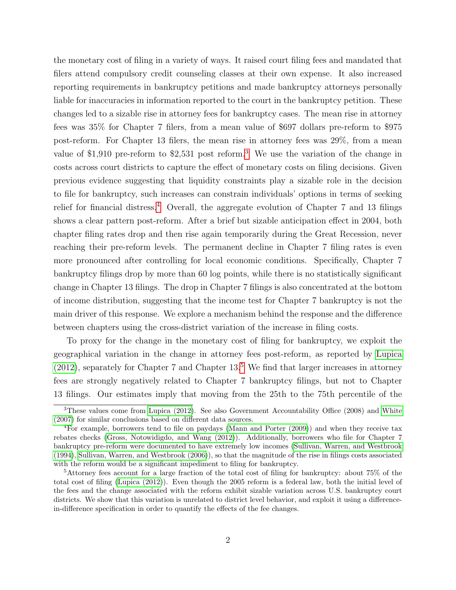the monetary cost of filing in a variety of ways. It raised court filing fees and mandated that filers attend compulsory credit counseling classes at their own expense. It also increased reporting requirements in bankruptcy petitions and made bankruptcy attorneys personally liable for inaccuracies in information reported to the court in the bankruptcy petition. These changes led to a sizable rise in attorney fees for bankruptcy cases. The mean rise in attorney fees was 35% for Chapter 7 filers, from a mean value of \$697 dollars pre-reform to \$975 post-reform. For Chapter 13 filers, the mean rise in attorney fees was 29%, from a mean value of \$1,910 pre-reform to \$2,531 post reform.[3](#page-2-0) We use the variation of the change in costs across court districts to capture the effect of monetary costs on filing decisions. Given previous evidence suggesting that liquidity constraints play a sizable role in the decision to file for bankruptcy, such increases can constrain individuals' options in terms of seeking relief for financial distress.<sup>[4](#page-2-1)</sup> Overall, the aggregate evolution of Chapter 7 and 13 filings shows a clear pattern post-reform. After a brief but sizable anticipation effect in 2004, both chapter filing rates drop and then rise again temporarily during the Great Recession, never reaching their pre-reform levels. The permanent decline in Chapter 7 filing rates is even more pronounced after controlling for local economic conditions. Specifically, Chapter 7 bankruptcy filings drop by more than 60 log points, while there is no statistically significant change in Chapter 13 filings. The drop in Chapter 7 filings is also concentrated at the bottom of income distribution, suggesting that the income test for Chapter 7 bankruptcy is not the main driver of this response. We explore a mechanism behind the response and the difference between chapters using the cross-district variation of the increase in filing costs.

To proxy for the change in the monetary cost of filing for bankruptcy, we exploit the geographical variation in the change in attorney fees post-reform, as reported by [Lupica](#page-34-2)  $(2012)$ , separately for Chapter 7 and Chapter 13.<sup>[5](#page-2-2)</sup> We find that larger increases in attorney fees are strongly negatively related to Chapter 7 bankruptcy filings, but not to Chapter 13 filings. Our estimates imply that moving from the 25th to the 75th percentile of the

<span id="page-2-0"></span><sup>3</sup>These values come from [Lupica \(2012\)](#page-34-2). See also Government Accountability Office (2008) and [White](#page-35-0) [\(2007\)](#page-35-0) for similar conclusions based on different data sources.

<span id="page-2-1"></span><sup>4</sup>For example, borrowers tend to file on paydays [\(Mann and Porter \(2009\)](#page-34-3)) and when they receive tax rebates checks [\(Gross, Notowidigdo, and Wang \(2012\)](#page-33-0)). Additionally, borrowers who file for Chapter 7 bankruptcy pre-reform were documented to have extremely low incomes [\(Sullivan, Warren, and Westbrook](#page-35-1) [\(1994\)](#page-35-1), [Sullivan, Warren, and Westbrook \(2006\)](#page-35-2)), so that the magnitude of the rise in filings costs associated with the reform would be a significant impediment to filing for bankruptcy.

<span id="page-2-2"></span><sup>5</sup>Attorney fees account for a large fraction of the total cost of filing for bankruptcy: about 75% of the total cost of filing [\(Lupica \(2012\)](#page-34-2)). Even though the 2005 reform is a federal law, both the initial level of the fees and the change associated with the reform exhibit sizable variation across U.S. bankruptcy court districts. We show that this variation is unrelated to district level behavior, and exploit it using a differencein-difference specification in order to quantify the effects of the fee changes.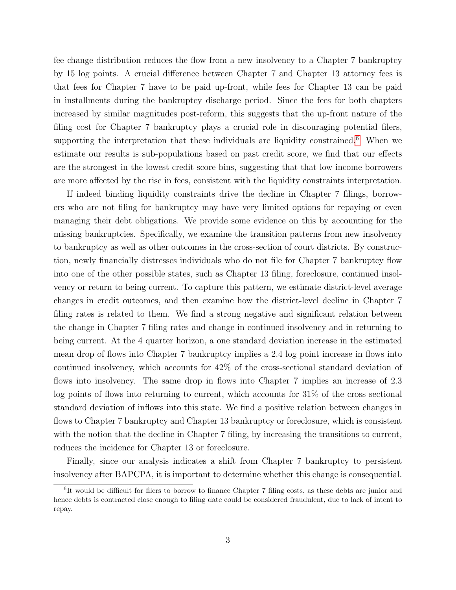fee change distribution reduces the flow from a new insolvency to a Chapter 7 bankruptcy by 15 log points. A crucial difference between Chapter 7 and Chapter 13 attorney fees is that fees for Chapter 7 have to be paid up-front, while fees for Chapter 13 can be paid in installments during the bankruptcy discharge period. Since the fees for both chapters increased by similar magnitudes post-reform, this suggests that the up-front nature of the filing cost for Chapter 7 bankruptcy plays a crucial role in discouraging potential filers, supporting the interpretation that these individuals are liquidity constrained.<sup>[6](#page-3-0)</sup> When we estimate our results is sub-populations based on past credit score, we find that our effects are the strongest in the lowest credit score bins, suggesting that that low income borrowers are more affected by the rise in fees, consistent with the liquidity constraints interpretation.

If indeed binding liquidity constraints drive the decline in Chapter 7 filings, borrowers who are not filing for bankruptcy may have very limited options for repaying or even managing their debt obligations. We provide some evidence on this by accounting for the missing bankruptcies. Specifically, we examine the transition patterns from new insolvency to bankruptcy as well as other outcomes in the cross-section of court districts. By construction, newly financially distresses individuals who do not file for Chapter 7 bankruptcy flow into one of the other possible states, such as Chapter 13 filing, foreclosure, continued insolvency or return to being current. To capture this pattern, we estimate district-level average changes in credit outcomes, and then examine how the district-level decline in Chapter 7 filing rates is related to them. We find a strong negative and significant relation between the change in Chapter 7 filing rates and change in continued insolvency and in returning to being current. At the 4 quarter horizon, a one standard deviation increase in the estimated mean drop of flows into Chapter 7 bankruptcy implies a 2.4 log point increase in flows into continued insolvency, which accounts for 42% of the cross-sectional standard deviation of flows into insolvency. The same drop in flows into Chapter 7 implies an increase of 2.3 log points of flows into returning to current, which accounts for 31% of the cross sectional standard deviation of inflows into this state. We find a positive relation between changes in flows to Chapter 7 bankruptcy and Chapter 13 bankruptcy or foreclosure, which is consistent with the notion that the decline in Chapter 7 filing, by increasing the transitions to current, reduces the incidence for Chapter 13 or foreclosure.

Finally, since our analysis indicates a shift from Chapter 7 bankruptcy to persistent insolvency after BAPCPA, it is important to determine whether this change is consequential.

<span id="page-3-0"></span><sup>&</sup>lt;sup>6</sup>It would be difficult for filers to borrow to finance Chapter 7 filing costs, as these debts are junior and hence debts is contracted close enough to filing date could be considered fraudulent, due to lack of intent to repay.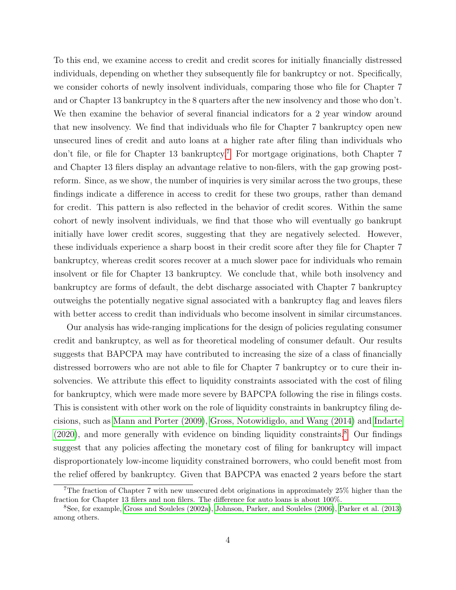To this end, we examine access to credit and credit scores for initially financially distressed individuals, depending on whether they subsequently file for bankruptcy or not. Specifically, we consider cohorts of newly insolvent individuals, comparing those who file for Chapter 7 and or Chapter 13 bankruptcy in the 8 quarters after the new insolvency and those who don't. We then examine the behavior of several financial indicators for a 2 year window around that new insolvency. We find that individuals who file for Chapter 7 bankruptcy open new unsecured lines of credit and auto loans at a higher rate after filing than individuals who don't file, or file for Chapter 13 bankruptcy.<sup>[7](#page-4-0)</sup> For mortgage originations, both Chapter 7 and Chapter 13 filers display an advantage relative to non-filers, with the gap growing postreform. Since, as we show, the number of inquiries is very similar across the two groups, these findings indicate a difference in access to credit for these two groups, rather than demand for credit. This pattern is also reflected in the behavior of credit scores. Within the same cohort of newly insolvent individuals, we find that those who will eventually go bankrupt initially have lower credit scores, suggesting that they are negatively selected. However, these individuals experience a sharp boost in their credit score after they file for Chapter 7 bankruptcy, whereas credit scores recover at a much slower pace for individuals who remain insolvent or file for Chapter 13 bankruptcy. We conclude that, while both insolvency and bankruptcy are forms of default, the debt discharge associated with Chapter 7 bankruptcy outweighs the potentially negative signal associated with a bankruptcy flag and leaves filers with better access to credit than individuals who become insolvent in similar circumstances.

Our analysis has wide-ranging implications for the design of policies regulating consumer credit and bankruptcy, as well as for theoretical modeling of consumer default. Our results suggests that BAPCPA may have contributed to increasing the size of a class of financially distressed borrowers who are not able to file for Chapter 7 bankruptcy or to cure their insolvencies. We attribute this effect to liquidity constraints associated with the cost of filing for bankruptcy, which were made more severe by BAPCPA following the rise in filings costs. This is consistent with other work on the role of liquidity constraints in bankruptcy filing decisions, such as [Mann and Porter \(2009\)](#page-34-3), [Gross, Notowidigdo, and Wang \(2014\)](#page-33-1) and [Indarte](#page-34-4)  $(2020)$ , and more generally with evidence on binding liquidity constraints.<sup>[8](#page-4-1)</sup> Our findings suggest that any policies affecting the monetary cost of filing for bankruptcy will impact disproportionately low-income liquidity constrained borrowers, who could benefit most from the relief offered by bankruptcy. Given that BAPCPA was enacted 2 years before the start

<span id="page-4-0"></span><sup>7</sup>The fraction of Chapter 7 with new unsecured debt originations in approximately 25% higher than the fraction for Chapter 13 filers and non filers. The difference for auto loans is about 100%.

<span id="page-4-1"></span><sup>8</sup>See, for example, [Gross and Souleles \(2002a\)](#page-33-2), [Johnson, Parker, and Souleles \(2006\)](#page-34-5), [Parker et al. \(2013\)](#page-35-3) among others.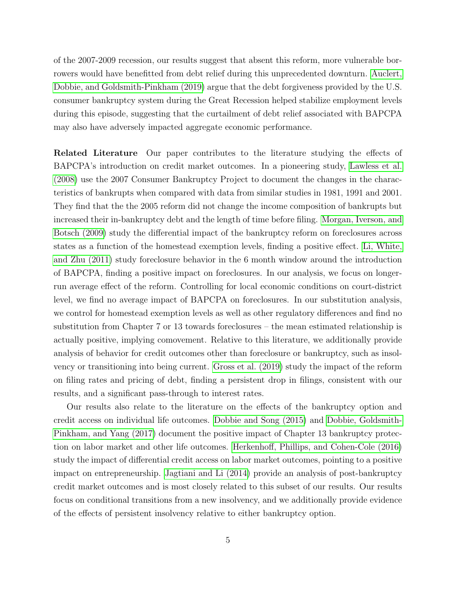of the 2007-2009 recession, our results suggest that absent this reform, more vulnerable borrowers would have benefitted from debt relief during this unprecedented downturn. [Auclert,](#page-32-1) [Dobbie, and Goldsmith-Pinkham \(2019\)](#page-32-1) argue that the debt forgiveness provided by the U.S. consumer bankruptcy system during the Great Recession helped stabilize employment levels during this episode, suggesting that the curtailment of debt relief associated with BAPCPA may also have adversely impacted aggregate economic performance.

Related Literature Our paper contributes to the literature studying the effects of BAPCPA's introduction on credit market outcomes. In a pioneering study, [Lawless et al.](#page-34-1) [\(2008\)](#page-34-1) use the 2007 Consumer Bankruptcy Project to document the changes in the characteristics of bankrupts when compared with data from similar studies in 1981, 1991 and 2001. They find that the the 2005 reform did not change the income composition of bankrupts but increased their in-bankruptcy debt and the length of time before filing. [Morgan, Iverson, and](#page-34-6) [Botsch \(2009\)](#page-34-6) study the differential impact of the bankruptcy reform on foreclosures across states as a function of the homestead exemption levels, finding a positive effect. [Li, White,](#page-34-7) [and Zhu \(2011\)](#page-34-7) study foreclosure behavior in the 6 month window around the introduction of BAPCPA, finding a positive impact on foreclosures. In our analysis, we focus on longerrun average effect of the reform. Controlling for local economic conditions on court-district level, we find no average impact of BAPCPA on foreclosures. In our substitution analysis, we control for homestead exemption levels as well as other regulatory differences and find no substitution from Chapter 7 or 13 towards foreclosures – the mean estimated relationship is actually positive, implying comovement. Relative to this literature, we additionally provide analysis of behavior for credit outcomes other than foreclosure or bankruptcy, such as insolvency or transitioning into being current. [Gross et al. \(2019\)](#page-33-3) study the impact of the reform on filing rates and pricing of debt, finding a persistent drop in filings, consistent with our results, and a significant pass-through to interest rates.

Our results also relate to the literature on the effects of the bankruptcy option and credit access on individual life outcomes. [Dobbie and Song \(2015\)](#page-33-4) and [Dobbie, Goldsmith-](#page-33-5)[Pinkham, and Yang \(2017\)](#page-33-5) document the positive impact of Chapter 13 bankruptcy protection on labor market and other life outcomes. [Herkenhoff, Phillips, and Cohen-Cole \(2016\)](#page-34-8) study the impact of differential credit access on labor market outcomes, pointing to a positive impact on entrepreneurship. [Jagtiani and Li \(2014\)](#page-34-9) provide an analysis of post-bankruptcy credit market outcomes and is most closely related to this subset of our results. Our results focus on conditional transitions from a new insolvency, and we additionally provide evidence of the effects of persistent insolvency relative to either bankruptcy option.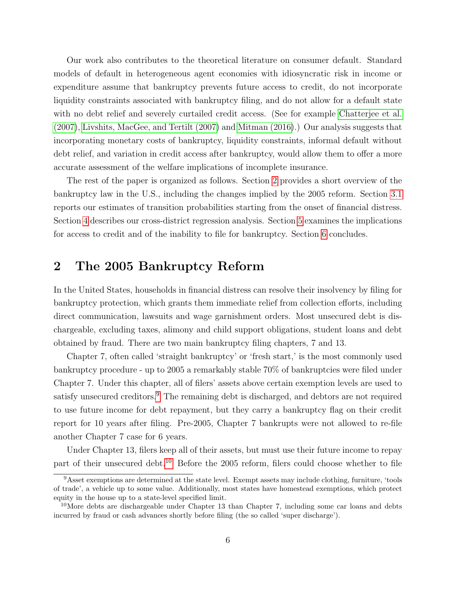Our work also contributes to the theoretical literature on consumer default. Standard models of default in heterogeneous agent economies with idiosyncratic risk in income or expenditure assume that bankruptcy prevents future access to credit, do not incorporate liquidity constraints associated with bankruptcy filing, and do not allow for a default state with no debt relief and severely curtailed credit access. (See for example [Chatterjee et al.](#page-32-2) [\(2007\)](#page-32-2), [Livshits, MacGee, and Tertilt \(2007\)](#page-34-0) and [Mitman \(2016\)](#page-34-10).) Our analysis suggests that incorporating monetary costs of bankruptcy, liquidity constraints, informal default without debt relief, and variation in credit access after bankruptcy, would allow them to offer a more accurate assessment of the welfare implications of incomplete insurance.

The rest of the paper is organized as follows. Section [2](#page-6-0) provides a short overview of the bankruptcy law in the U.S., including the changes implied by the 2005 reform. Section [3.1](#page-9-0) reports our estimates of transition probabilities starting from the onset of financial distress. Section [4](#page-13-0) describes our cross-district regression analysis. Section [5](#page-27-0) examines the implications for access to credit and of the inability to file for bankruptcy. Section [6](#page-31-0) concludes.

#### <span id="page-6-0"></span>2 The 2005 Bankruptcy Reform

In the United States, households in financial distress can resolve their insolvency by filing for bankruptcy protection, which grants them immediate relief from collection efforts, including direct communication, lawsuits and wage garnishment orders. Most unsecured debt is dischargeable, excluding taxes, alimony and child support obligations, student loans and debt obtained by fraud. There are two main bankruptcy filing chapters, 7 and 13.

Chapter 7, often called 'straight bankruptcy' or 'fresh start,' is the most commonly used bankruptcy procedure - up to 2005 a remarkably stable 70% of bankruptcies were filed under Chapter 7. Under this chapter, all of filers' assets above certain exemption levels are used to satisfy unsecured creditors.<sup>[9](#page-6-1)</sup> The remaining debt is discharged, and debtors are not required to use future income for debt repayment, but they carry a bankruptcy flag on their credit report for 10 years after filing. Pre-2005, Chapter 7 bankrupts were not allowed to re-file another Chapter 7 case for 6 years.

Under Chapter 13, filers keep all of their assets, but must use their future income to repay part of their unsecured debt.[10](#page-6-2) Before the 2005 reform, filers could choose whether to file

<span id="page-6-1"></span><sup>&</sup>lt;sup>9</sup>Asset exemptions are determined at the state level. Exempt assets may include clothing, furniture, 'tools of trade', a vehicle up to some value. Additionally, most states have homestead exemptions, which protect equity in the house up to a state-level specified limit.

<span id="page-6-2"></span><sup>&</sup>lt;sup>10</sup>More debts are dischargeable under Chapter 13 than Chapter 7, including some car loans and debts incurred by fraud or cash advances shortly before filing (the so called 'super discharge').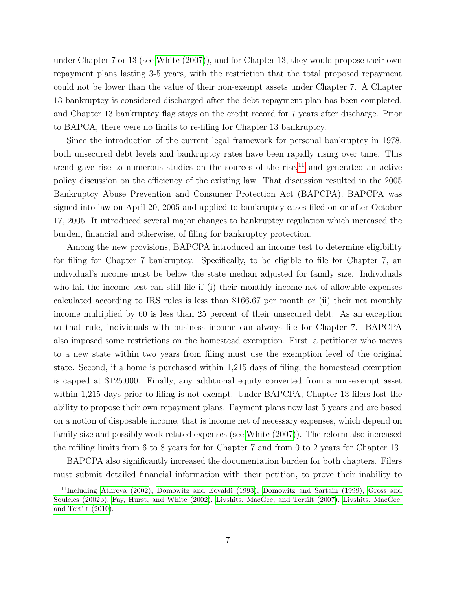under Chapter 7 or 13 (see [White \(2007\)](#page-35-0)), and for Chapter 13, they would propose their own repayment plans lasting 3-5 years, with the restriction that the total proposed repayment could not be lower than the value of their non-exempt assets under Chapter 7. A Chapter 13 bankruptcy is considered discharged after the debt repayment plan has been completed, and Chapter 13 bankruptcy flag stays on the credit record for 7 years after discharge. Prior to BAPCA, there were no limits to re-filing for Chapter 13 bankruptcy.

Since the introduction of the current legal framework for personal bankruptcy in 1978, both unsecured debt levels and bankruptcy rates have been rapidly rising over time. This trend gave rise to numerous studies on the sources of the rise, $^{11}$  $^{11}$  $^{11}$  and generated an active policy discussion on the efficiency of the existing law. That discussion resulted in the 2005 Bankruptcy Abuse Prevention and Consumer Protection Act (BAPCPA). BAPCPA was signed into law on April 20, 2005 and applied to bankruptcy cases filed on or after October 17, 2005. It introduced several major changes to bankruptcy regulation which increased the burden, financial and otherwise, of filing for bankruptcy protection.

Among the new provisions, BAPCPA introduced an income test to determine eligibility for filing for Chapter 7 bankruptcy. Specifically, to be eligible to file for Chapter 7, an individual's income must be below the state median adjusted for family size. Individuals who fail the income test can still file if (i) their monthly income net of allowable expenses calculated according to IRS rules is less than \$166.67 per month or (ii) their net monthly income multiplied by 60 is less than 25 percent of their unsecured debt. As an exception to that rule, individuals with business income can always file for Chapter 7. BAPCPA also imposed some restrictions on the homestead exemption. First, a petitioner who moves to a new state within two years from filing must use the exemption level of the original state. Second, if a home is purchased within 1,215 days of filing, the homestead exemption is capped at \$125,000. Finally, any additional equity converted from a non-exempt asset within 1,215 days prior to filing is not exempt. Under BAPCPA, Chapter 13 filers lost the ability to propose their own repayment plans. Payment plans now last 5 years and are based on a notion of disposable income, that is income net of necessary expenses, which depend on family size and possibly work related expenses (see [White \(2007\)](#page-35-0)). The reform also increased the refiling limits from 6 to 8 years for for Chapter 7 and from 0 to 2 years for Chapter 13.

BAPCPA also significantly increased the documentation burden for both chapters. Filers must submit detailed financial information with their petition, to prove their inability to

<span id="page-7-0"></span><sup>11</sup>Including [Athreya \(2002\)](#page-32-3), [Domowitz and Eovaldi \(1993\)](#page-33-6), [Domowitz and Sartain \(1999\)](#page-33-7), [Gross and](#page-33-8) [Souleles \(2002b\)](#page-33-8), [Fay, Hurst, and White \(2002\)](#page-33-9), [Livshits, MacGee, and Tertilt \(2007\)](#page-34-0), [Livshits, MacGee,](#page-34-11) [and Tertilt \(2010\)](#page-34-11).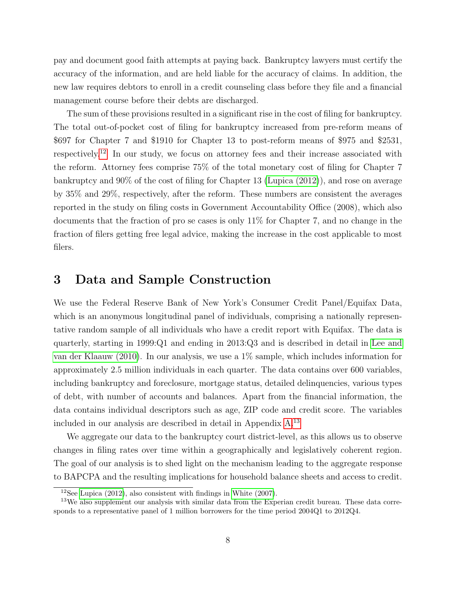pay and document good faith attempts at paying back. Bankruptcy lawyers must certify the accuracy of the information, and are held liable for the accuracy of claims. In addition, the new law requires debtors to enroll in a credit counseling class before they file and a financial management course before their debts are discharged.

The sum of these provisions resulted in a significant rise in the cost of filing for bankruptcy. The total out-of-pocket cost of filing for bankruptcy increased from pre-reform means of \$697 for Chapter 7 and \$1910 for Chapter 13 to post-reform means of \$975 and \$2531, respectively.[12](#page-8-0) In our study, we focus on attorney fees and their increase associated with the reform. Attorney fees comprise 75% of the total monetary cost of filing for Chapter 7 bankruptcy and 90% of the cost of filing for Chapter 13 [\(Lupica \(2012\)](#page-34-2)), and rose on average by 35% and 29%, respectively, after the reform. These numbers are consistent the averages reported in the study on filing costs in Government Accountability Office (2008), which also documents that the fraction of pro se cases is only 11% for Chapter 7, and no change in the fraction of filers getting free legal advice, making the increase in the cost applicable to most filers.

# 3 Data and Sample Construction

We use the Federal Reserve Bank of New York's Consumer Credit Panel/Equifax Data, which is an anonymous longitudinal panel of individuals, comprising a nationally representative random sample of all individuals who have a credit report with Equifax. The data is quarterly, starting in 1999:Q1 and ending in 2013:Q3 and is described in detail in [Lee and](#page-34-12) [van der Klaauw \(2010\)](#page-34-12). In our analysis, we use a 1% sample, which includes information for approximately 2.5 million individuals in each quarter. The data contains over 600 variables, including bankruptcy and foreclosure, mortgage status, detailed delinquencies, various types of debt, with number of accounts and balances. Apart from the financial information, the data contains individual descriptors such as age, ZIP code and credit score. The variables included in our analysis are described in detail in Appendix [A.](#page-36-0)[13](#page-8-1)

We aggregate our data to the bankruptcy court district-level, as this allows us to observe changes in filing rates over time within a geographically and legislatively coherent region. The goal of our analysis is to shed light on the mechanism leading to the aggregate response to BAPCPA and the resulting implications for household balance sheets and access to credit.

<span id="page-8-1"></span><span id="page-8-0"></span><sup>&</sup>lt;sup>12</sup>See Lupica  $(2012)$ , also consistent with findings in White  $(2007)$ .

<sup>&</sup>lt;sup>13</sup>We also supplement our analysis with similar data from the Experian credit bureau. These data corresponds to a representative panel of 1 million borrowers for the time period 2004Q1 to 2012Q4.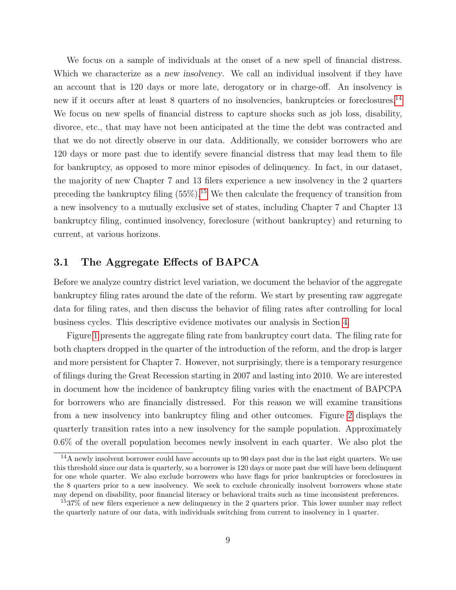We focus on a sample of individuals at the onset of a new spell of financial distress. Which we characterize as a new insolvency. We call an individual insolvent if they have an account that is 120 days or more late, derogatory or in charge-off. An insolvency is new if it occurs after at least 8 quarters of no insolvencies, bankruptcies or foreclosures.<sup>[14](#page-9-1)</sup> We focus on new spells of financial distress to capture shocks such as job loss, disability, divorce, etc., that may have not been anticipated at the time the debt was contracted and that we do not directly observe in our data. Additionally, we consider borrowers who are 120 days or more past due to identify severe financial distress that may lead them to file for bankruptcy, as opposed to more minor episodes of delinquency. In fact, in our dataset, the majority of new Chapter 7 and 13 filers experience a new insolvency in the 2 quarters preceding the bankruptcy filing  $(55\%)$ .<sup>[15](#page-9-2)</sup> We then calculate the frequency of transition from a new insolvency to a mutually exclusive set of states, including Chapter 7 and Chapter 13 bankruptcy filing, continued insolvency, foreclosure (without bankruptcy) and returning to current, at various horizons.

#### <span id="page-9-0"></span>3.1 The Aggregate Effects of BAPCA

Before we analyze country district level variation, we document the behavior of the aggregate bankruptcy filing rates around the date of the reform. We start by presenting raw aggregate data for filing rates, and then discuss the behavior of filing rates after controlling for local business cycles. This descriptive evidence motivates our analysis in Section [4.](#page-13-0)

Figure [1](#page-10-0) presents the aggregate filing rate from bankruptcy court data. The filing rate for both chapters dropped in the quarter of the introduction of the reform, and the drop is larger and more persistent for Chapter 7. However, not surprisingly, there is a temporary resurgence of filings during the Great Recession starting in 2007 and lasting into 2010. We are interested in document how the incidence of bankruptcy filing varies with the enactment of BAPCPA for borrowers who are financially distressed. For this reason we will examine transitions from a new insolvency into bankruptcy filing and other outcomes. Figure [2](#page-11-0) displays the quarterly transition rates into a new insolvency for the sample population. Approximately 0.6% of the overall population becomes newly insolvent in each quarter. We also plot the

<span id="page-9-1"></span><sup>&</sup>lt;sup>14</sup>A newly insolvent borrower could have accounts up to 90 days past due in the last eight quarters. We use this threshold since our data is quarterly, so a borrower is 120 days or more past due will have been delinquent for one whole quarter. We also exclude borrowers who have flags for prior bankruptcies or foreclosures in the 8 quarters prior to a new insolvency. We seek to exclude chronically insolvent borrowers whose state may depend on disability, poor financial literacy or behavioral traits such as time inconsistent preferences.

<span id="page-9-2"></span><sup>15</sup>37% of new filers experience a new delinquency in the 2 quarters prior. This lower number may reflect the quarterly nature of our data, with individuals switching from current to insolvency in 1 quarter.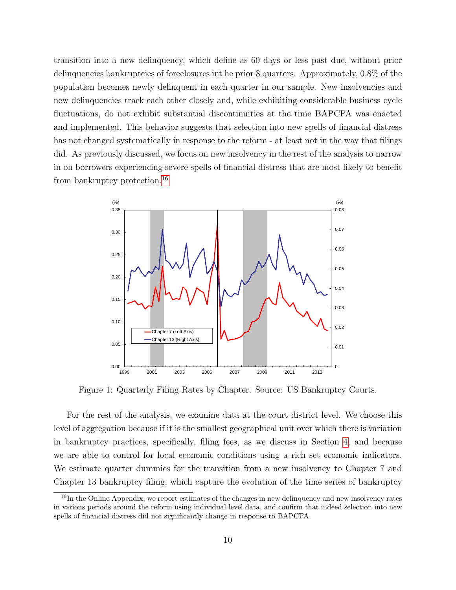transition into a new delinquency, which define as 60 days or less past due, without prior delinquencies bankruptcies of foreclosures int he prior 8 quarters. Approximately, 0.8% of the population becomes newly delinquent in each quarter in our sample. New insolvencies and new delinquencies track each other closely and, while exhibiting considerable business cycle fluctuations, do not exhibit substantial discontinuities at the time BAPCPA was enacted and implemented. This behavior suggests that selection into new spells of financial distress has not changed systematically in response to the reform - at least not in the way that filings did. As previously discussed, we focus on new insolvency in the rest of the analysis to narrow in on borrowers experiencing severe spells of financial distress that are most likely to benefit from bankruptcy protection.[16](#page-10-1)

<span id="page-10-0"></span>

Figure 1: Quarterly Filing Rates by Chapter. Source: US Bankruptcy Courts.

For the rest of the analysis, we examine data at the court district level. We choose this level of aggregation because if it is the smallest geographical unit over which there is variation in bankruptcy practices, specifically, filing fees, as we discuss in Section [4,](#page-13-0) and because we are able to control for local economic conditions using a rich set economic indicators. We estimate quarter dummies for the transition from a new insolvency to Chapter 7 and Chapter 13 bankruptcy filing, which capture the evolution of the time series of bankruptcy

<span id="page-10-1"></span><sup>&</sup>lt;sup>16</sup>In the Online Appendix, we report estimates of the changes in new delinquency and new insolvency rates in various periods around the reform using individual level data, and confirm that indeed selection into new spells of financial distress did not significantly change in response to BAPCPA.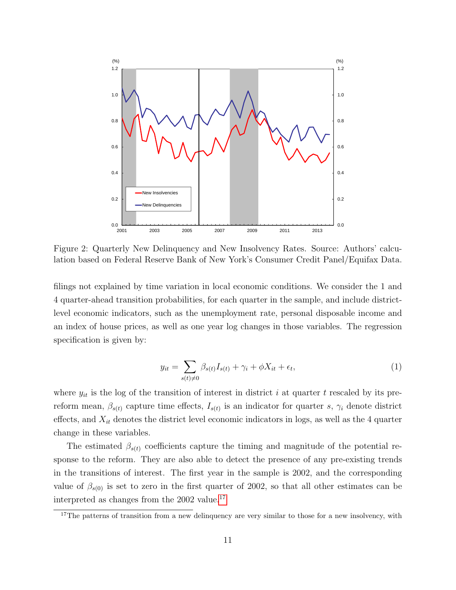<span id="page-11-0"></span>

Figure 2: Quarterly New Delinquency and New Insolvency Rates. Source: Authors' calculation based on Federal Reserve Bank of New York's Consumer Credit Panel/Equifax Data.

filings not explained by time variation in local economic conditions. We consider the 1 and 4 quarter-ahead transition probabilities, for each quarter in the sample, and include districtlevel economic indicators, such as the unemployment rate, personal disposable income and an index of house prices, as well as one year log changes in those variables. The regression specification is given by:

<span id="page-11-2"></span>
$$
y_{it} = \sum_{s(t) \neq 0} \beta_{s(t)} I_{s(t)} + \gamma_i + \phi X_{it} + \epsilon_t,
$$
\n(1)

where  $y_{it}$  is the log of the transition of interest in district i at quarter t rescaled by its prereform mean,  $\beta_{s(t)}$  capture time effects,  $I_{s(t)}$  is an indicator for quarter s,  $\gamma_i$  denote district effects, and  $X_{it}$  denotes the district level economic indicators in logs, as well as the 4 quarter change in these variables.

The estimated  $\beta_{s(t)}$  coefficients capture the timing and magnitude of the potential response to the reform. They are also able to detect the presence of any pre-existing trends in the transitions of interest. The first year in the sample is 2002, and the corresponding value of  $\beta_{s(0)}$  is set to zero in the first quarter of 2002, so that all other estimates can be interpreted as changes from the 2002 value.<sup>[17](#page-11-1)</sup>

<span id="page-11-1"></span><sup>&</sup>lt;sup>17</sup>The patterns of transition from a new delinquency are very similar to those for a new insolvency, with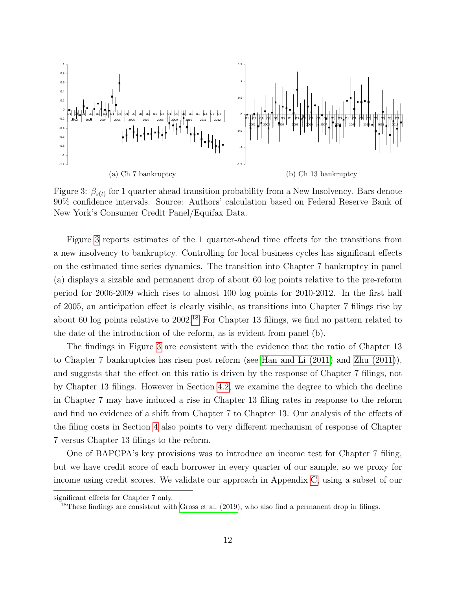<span id="page-12-0"></span>

Figure 3:  $\beta_{s(t)}$  for 1 quarter ahead transition probability from a New Insolvency. Bars denote 90% confidence intervals. Source: Authors' calculation based on Federal Reserve Bank of New York's Consumer Credit Panel/Equifax Data.

Figure [3](#page-12-0) reports estimates of the 1 quarter-ahead time effects for the transitions from a new insolvency to bankruptcy. Controlling for local business cycles has significant effects on the estimated time series dynamics. The transition into Chapter 7 bankruptcy in panel (a) displays a sizable and permanent drop of about 60 log points relative to the pre-reform period for 2006-2009 which rises to almost 100 log points for 2010-2012. In the first half of 2005, an anticipation effect is clearly visible, as transitions into Chapter 7 filings rise by about 60 log points relative to 2002.[18](#page-12-1) For Chapter 13 filings, we find no pattern related to the date of the introduction of the reform, as is evident from panel (b).

The findings in Figure [3](#page-12-0) are consistent with the evidence that the ratio of Chapter 13 to Chapter 7 bankruptcies has risen post reform (see [Han and Li \(2011\)](#page-33-10) and [Zhu \(2011\)](#page-35-4)), and suggests that the effect on this ratio is driven by the response of Chapter 7 filings, not by Chapter 13 filings. However in Section [4.2,](#page-21-0) we examine the degree to which the decline in Chapter 7 may have induced a rise in Chapter 13 filing rates in response to the reform and find no evidence of a shift from Chapter 7 to Chapter 13. Our analysis of the effects of the filing costs in Section [4](#page-13-0) also points to very different mechanism of response of Chapter 7 versus Chapter 13 filings to the reform.

One of BAPCPA's key provisions was to introduce an income test for Chapter 7 filing, but we have credit score of each borrower in every quarter of our sample, so we proxy for income using credit scores. We validate our approach in Appendix [C,](#page-40-0) using a subset of our

significant effects for Chapter 7 only.

<span id="page-12-1"></span><sup>&</sup>lt;sup>18</sup>These findings are consistent with Gross et al.  $(2019)$ , who also find a permanent drop in filings.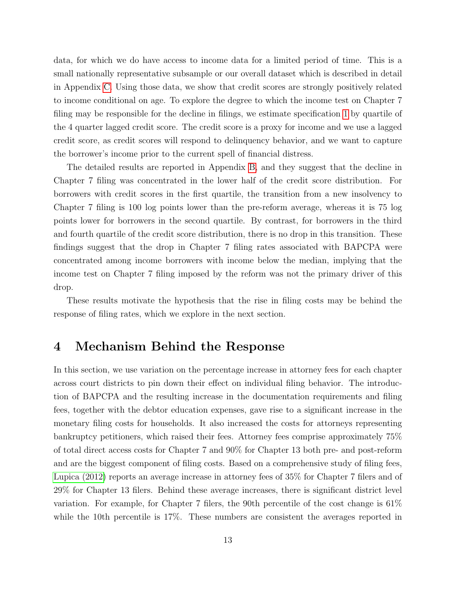data, for which we do have access to income data for a limited period of time. This is a small nationally representative subsample or our overall dataset which is described in detail in Appendix [C.](#page-40-0) Using those data, we show that credit scores are strongly positively related to income conditional on age. To explore the degree to which the income test on Chapter 7 filing may be responsible for the decline in filings, we estimate specification [1](#page-11-2) by quartile of the 4 quarter lagged credit score. The credit score is a proxy for income and we use a lagged credit score, as credit scores will respond to delinquency behavior, and we want to capture the borrower's income prior to the current spell of financial distress.

The detailed results are reported in Appendix [B,](#page-38-0) and they suggest that the decline in Chapter 7 filing was concentrated in the lower half of the credit score distribution. For borrowers with credit scores in the first quartile, the transition from a new insolvency to Chapter 7 filing is 100 log points lower than the pre-reform average, whereas it is 75 log points lower for borrowers in the second quartile. By contrast, for borrowers in the third and fourth quartile of the credit score distribution, there is no drop in this transition. These findings suggest that the drop in Chapter 7 filing rates associated with BAPCPA were concentrated among income borrowers with income below the median, implying that the income test on Chapter 7 filing imposed by the reform was not the primary driver of this drop.

These results motivate the hypothesis that the rise in filing costs may be behind the response of filing rates, which we explore in the next section.

#### <span id="page-13-0"></span>4 Mechanism Behind the Response

In this section, we use variation on the percentage increase in attorney fees for each chapter across court districts to pin down their effect on individual filing behavior. The introduction of BAPCPA and the resulting increase in the documentation requirements and filing fees, together with the debtor education expenses, gave rise to a significant increase in the monetary filing costs for households. It also increased the costs for attorneys representing bankruptcy petitioners, which raised their fees. Attorney fees comprise approximately 75% of total direct access costs for Chapter 7 and 90% for Chapter 13 both pre- and post-reform and are the biggest component of filing costs. Based on a comprehensive study of filing fees, [Lupica \(2012\)](#page-34-2) reports an average increase in attorney fees of 35% for Chapter 7 filers and of 29% for Chapter 13 filers. Behind these average increases, there is significant district level variation. For example, for Chapter 7 filers, the 90th percentile of the cost change is 61% while the 10th percentile is 17%. These numbers are consistent the averages reported in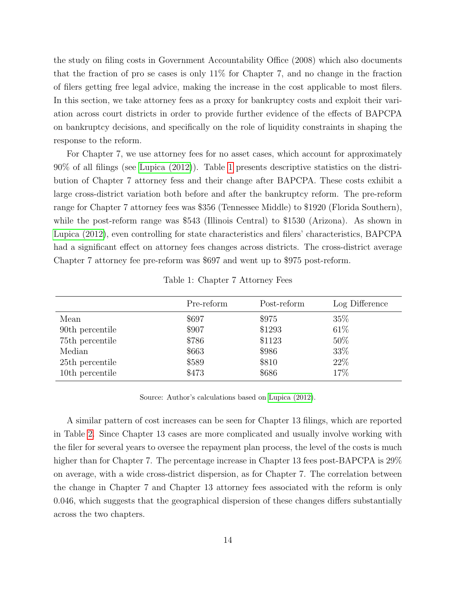the study on filing costs in Government Accountability Office (2008) which also documents that the fraction of pro se cases is only 11% for Chapter 7, and no change in the fraction of filers getting free legal advice, making the increase in the cost applicable to most filers. In this section, we take attorney fees as a proxy for bankruptcy costs and exploit their variation across court districts in order to provide further evidence of the effects of BAPCPA on bankruptcy decisions, and specifically on the role of liquidity constraints in shaping the response to the reform.

For Chapter 7, we use attorney fees for no asset cases, which account for approximately 90% of all filings (see [Lupica \(2012\)](#page-34-2)). Table [1](#page-14-0) presents descriptive statistics on the distribution of Chapter 7 attorney fess and their change after BAPCPA. These costs exhibit a large cross-district variation both before and after the bankruptcy reform. The pre-reform range for Chapter 7 attorney fees was \$356 (Tennessee Middle) to \$1920 (Florida Southern), while the post-reform range was \$543 (Illinois Central) to \$1530 (Arizona). As shown in [Lupica \(2012\)](#page-34-2), even controlling for state characteristics and filers' characteristics, BAPCPA had a significant effect on attorney fees changes across districts. The cross-district average Chapter 7 attorney fee pre-reform was \$697 and went up to \$975 post-reform.

<span id="page-14-0"></span>

|                 | Pre-reform | Post-reform | Log Difference |
|-----------------|------------|-------------|----------------|
| Mean            | \$697      | \$975       | 35\%           |
| 90th percentile | \$907      | \$1293      | 61\%           |
| 75th percentile | \$786      | \$1123      | 50%            |
| Median          | \$663      | \$986       | 33%            |
| 25th percentile | \$589      | \$810       | 22\%           |
| 10th percentile | \$473      | \$686       | 17%            |

Table 1: Chapter 7 Attorney Fees

Source: Author's calculations based on [Lupica \(2012\)](#page-34-2).

A similar pattern of cost increases can be seen for Chapter 13 filings, which are reported in Table [2.](#page-15-0) Since Chapter 13 cases are more complicated and usually involve working with the filer for several years to oversee the repayment plan process, the level of the costs is much higher than for Chapter 7. The percentage increase in Chapter 13 fees post-BAPCPA is 29% on average, with a wide cross-district dispersion, as for Chapter 7. The correlation between the change in Chapter 7 and Chapter 13 attorney fees associated with the reform is only 0.046, which suggests that the geographical dispersion of these changes differs substantially across the two chapters.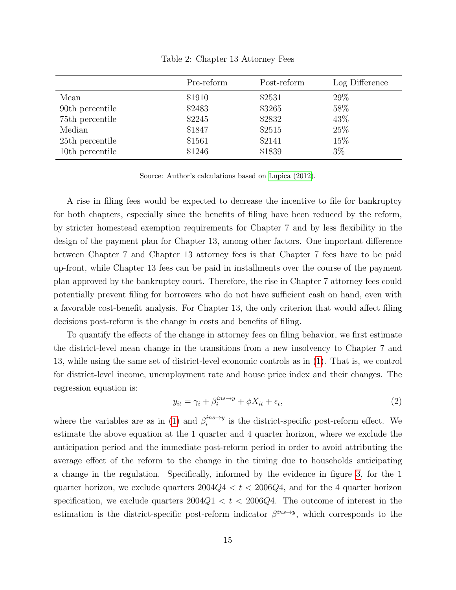<span id="page-15-0"></span>

|                 | Pre-reform | Post-reform | Log Difference |
|-----------------|------------|-------------|----------------|
| Mean            | \$1910     | \$2531      | 29\%           |
| 90th percentile | \$2483     | \$3265      | 58%            |
| 75th percentile | \$2245     | \$2832      | 43%            |
| Median          | \$1847     | \$2515      | 25\%           |
| 25th percentile | \$1561     | \$2141      | 15%            |
| 10th percentile | \$1246     | \$1839      | $3\%$          |

Table 2: Chapter 13 Attorney Fees

Source: Author's calculations based on [Lupica \(2012\)](#page-34-2).

A rise in filing fees would be expected to decrease the incentive to file for bankruptcy for both chapters, especially since the benefits of filing have been reduced by the reform, by stricter homestead exemption requirements for Chapter 7 and by less flexibility in the design of the payment plan for Chapter 13, among other factors. One important difference between Chapter 7 and Chapter 13 attorney fees is that Chapter 7 fees have to be paid up-front, while Chapter 13 fees can be paid in installments over the course of the payment plan approved by the bankruptcy court. Therefore, the rise in Chapter 7 attorney fees could potentially prevent filing for borrowers who do not have sufficient cash on hand, even with a favorable cost-benefit analysis. For Chapter 13, the only criterion that would affect filing decisions post-reform is the change in costs and benefits of filing.

To quantify the effects of the change in attorney fees on filing behavior, we first estimate the district-level mean change in the transitions from a new insolvency to Chapter 7 and 13, while using the same set of district-level economic controls as in [\(1\)](#page-11-2). That is, we control for district-level income, unemployment rate and house price index and their changes. The regression equation is:

<span id="page-15-1"></span>
$$
y_{it} = \gamma_i + \beta_i^{ins \to y} + \phi X_{it} + \epsilon_t,
$$
\n<sup>(2)</sup>

where the variables are as in [\(1\)](#page-11-2) and  $\beta_i^{ins \to y}$  $i^{ins \rightarrow y}$  is the district-specific post-reform effect. We estimate the above equation at the 1 quarter and 4 quarter horizon, where we exclude the anticipation period and the immediate post-reform period in order to avoid attributing the average effect of the reform to the change in the timing due to households anticipating a change in the regulation. Specifically, informed by the evidence in figure [3,](#page-12-0) for the 1 quarter horizon, we exclude quarters  $2004Q4 < t < 2006Q4$ , and for the 4 quarter horizon specification, we exclude quarters  $2004Q1 < t < 2006Q4$ . The outcome of interest in the estimation is the district-specific post-reform indicator  $\beta^{ins\rightarrow y}$ , which corresponds to the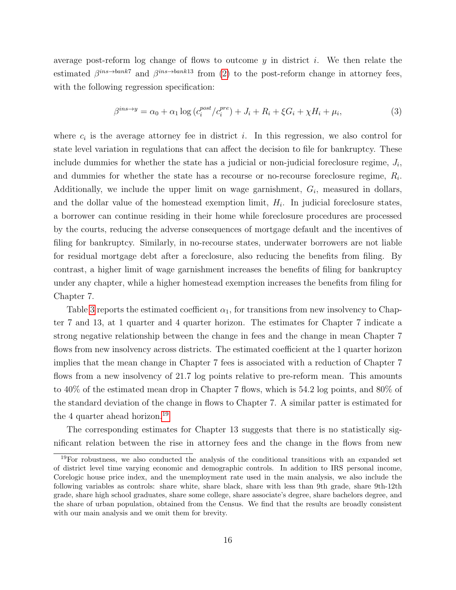average post-reform log change of flows to outcome  $y$  in district i. We then relate the estimated  $\beta^{ins \to bank7}$  and  $\beta^{ins \to bank13}$  from [\(2\)](#page-15-1) to the post-reform change in attorney fees, with the following regression specification:

<span id="page-16-1"></span>
$$
\beta^{ins \to y} = \alpha_0 + \alpha_1 \log \left( c_i^{post} / c_i^{pre} \right) + J_i + R_i + \xi G_i + \chi H_i + \mu_i,\tag{3}
$$

where  $c_i$  is the average attorney fee in district i. In this regression, we also control for state level variation in regulations that can affect the decision to file for bankruptcy. These include dummies for whether the state has a judicial or non-judicial foreclosure regime,  $J_i$ , and dummies for whether the state has a recourse or no-recourse foreclosure regime,  $R_i$ . Additionally, we include the upper limit on wage garnishment,  $G_i$ , measured in dollars, and the dollar value of the homestead exemption limit,  $H_i$ . In judicial foreclosure states, a borrower can continue residing in their home while foreclosure procedures are processed by the courts, reducing the adverse consequences of mortgage default and the incentives of filing for bankruptcy. Similarly, in no-recourse states, underwater borrowers are not liable for residual mortgage debt after a foreclosure, also reducing the benefits from filing. By contrast, a higher limit of wage garnishment increases the benefits of filing for bankruptcy under any chapter, while a higher homestead exemption increases the benefits from filing for Chapter 7.

Table [3](#page-17-0) reports the estimated coefficient  $\alpha_1$ , for transitions from new insolvency to Chapter 7 and 13, at 1 quarter and 4 quarter horizon. The estimates for Chapter 7 indicate a strong negative relationship between the change in fees and the change in mean Chapter 7 flows from new insolvency across districts. The estimated coefficient at the 1 quarter horizon implies that the mean change in Chapter 7 fees is associated with a reduction of Chapter 7 flows from a new insolvency of 21.7 log points relative to pre-reform mean. This amounts to 40% of the estimated mean drop in Chapter 7 flows, which is 54.2 log points, and 80% of the standard deviation of the change in flows to Chapter 7. A similar patter is estimated for the 4 quarter ahead horizon.[19](#page-16-0)

The corresponding estimates for Chapter 13 suggests that there is no statistically significant relation between the rise in attorney fees and the change in the flows from new

<span id="page-16-0"></span><sup>19</sup>For robustness, we also conducted the analysis of the conditional transitions with an expanded set of district level time varying economic and demographic controls. In addition to IRS personal income, Corelogic house price index, and the unemployment rate used in the main analysis, we also include the following variables as controls: share white, share black, share with less than 9th grade, share 9th-12th grade, share high school graduates, share some college, share associate's degree, share bachelors degree, and the share of urban population, obtained from the Census. We find that the results are broadly consistent with our main analysis and we omit them for brevity.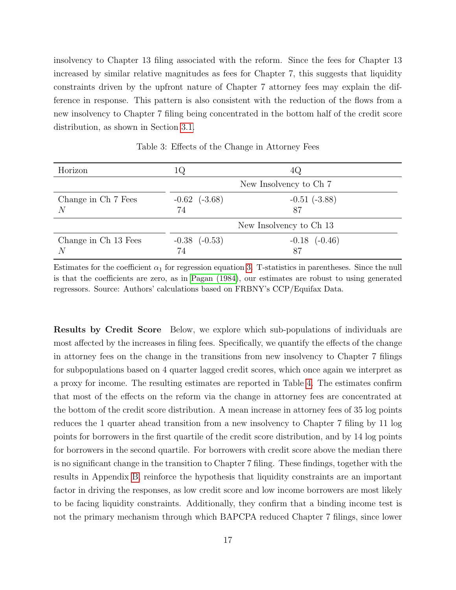insolvency to Chapter 13 filing associated with the reform. Since the fees for Chapter 13 increased by similar relative magnitudes as fees for Chapter 7, this suggests that liquidity constraints driven by the upfront nature of Chapter 7 attorney fees may explain the difference in response. This pattern is also consistent with the reduction of the flows from a new insolvency to Chapter 7 filing being concentrated in the bottom half of the credit score distribution, as shown in Section [3.1.](#page-9-0)

<span id="page-17-0"></span>

| Horizon                   | TÔ.                     | 4Q                      |  |
|---------------------------|-------------------------|-------------------------|--|
|                           | New Insolvency to Ch 7  |                         |  |
| Change in Ch 7 Fees<br>N  | $-0.62$ $(-3.68)$<br>74 | $-0.51(-3.88)$<br>87    |  |
|                           |                         | New Insolvency to Ch 13 |  |
| Change in Ch 13 Fees<br>N | $-0.38$ $(-0.53)$<br>74 | $-0.18$ $(-0.46)$<br>87 |  |

Table 3: Effects of the Change in Attorney Fees

Estimates for the coefficient  $\alpha_1$  for regression equation [3.](#page-16-1) T-statistics in parentheses. Since the null is that the coefficients are zero, as in [Pagan \(1984\)](#page-35-5), our estimates are robust to using generated regressors. Source: Authors' calculations based on FRBNY's CCP/Equifax Data.

Results by Credit Score Below, we explore which sub-populations of individuals are most affected by the increases in filing fees. Specifically, we quantify the effects of the change in attorney fees on the change in the transitions from new insolvency to Chapter 7 filings for subpopulations based on 4 quarter lagged credit scores, which once again we interpret as a proxy for income. The resulting estimates are reported in Table [4.](#page-18-0) The estimates confirm that most of the effects on the reform via the change in attorney fees are concentrated at the bottom of the credit score distribution. A mean increase in attorney fees of 35 log points reduces the 1 quarter ahead transition from a new insolvency to Chapter 7 filing by 11 log points for borrowers in the first quartile of the credit score distribution, and by 14 log points for borrowers in the second quartile. For borrowers with credit score above the median there is no significant change in the transition to Chapter 7 filing. These findings, together with the results in Appendix [B,](#page-38-0) reinforce the hypothesis that liquidity constraints are an important factor in driving the responses, as low credit score and low income borrowers are most likely to be facing liquidity constraints. Additionally, they confirm that a binding income test is not the primary mechanism through which BAPCPA reduced Chapter 7 filings, since lower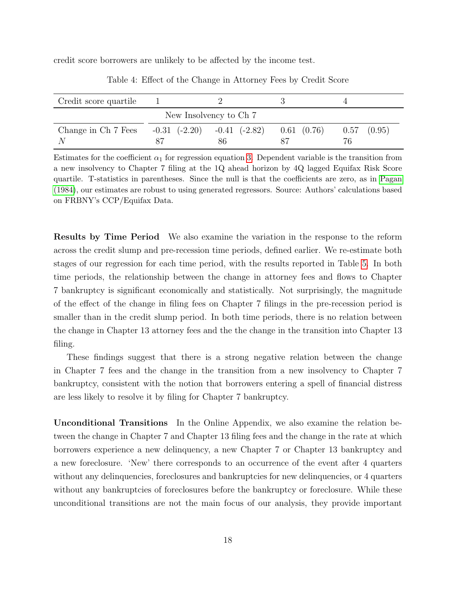<span id="page-18-0"></span>credit score borrowers are unlikely to be affected by the income test.

| Credit score quartile |                   |                         |                 |                 |
|-----------------------|-------------------|-------------------------|-----------------|-----------------|
|                       |                   | New Insolvency to Ch 7  |                 |                 |
| Change in Ch 7 Fees   | $-0.31$ $(-2.20)$ | $-0.41$ $(-2.82)$<br>86 | $0.61$ $(0.76)$ | $0.57$ $(0.95)$ |

Table 4: Effect of the Change in Attorney Fees by Credit Score

Estimates for the coefficient  $\alpha_1$  for regression equation [3.](#page-16-1) Dependent variable is the transition from a new insolvency to Chapter 7 filing at the 1Q ahead horizon by 4Q lagged Equifax Risk Score quartile. T-statistics in parentheses. Since the null is that the coefficients are zero, as in [Pagan](#page-35-5) [\(1984\)](#page-35-5), our estimates are robust to using generated regressors. Source: Authors' calculations based on FRBNY's CCP/Equifax Data.

Results by Time Period We also examine the variation in the response to the reform across the credit slump and pre-recession time periods, defined earlier. We re-estimate both stages of our regression for each time period, with the results reported in Table [5.](#page-19-0) In both time periods, the relationship between the change in attorney fees and flows to Chapter 7 bankruptcy is significant economically and statistically. Not surprisingly, the magnitude of the effect of the change in filing fees on Chapter 7 filings in the pre-recession period is smaller than in the credit slump period. In both time periods, there is no relation between the change in Chapter 13 attorney fees and the the change in the transition into Chapter 13 filing.

These findings suggest that there is a strong negative relation between the change in Chapter 7 fees and the change in the transition from a new insolvency to Chapter 7 bankruptcy, consistent with the notion that borrowers entering a spell of financial distress are less likely to resolve it by filing for Chapter 7 bankruptcy.

Unconditional Transitions In the Online Appendix, we also examine the relation between the change in Chapter 7 and Chapter 13 filing fees and the change in the rate at which borrowers experience a new delinquency, a new Chapter 7 or Chapter 13 bankruptcy and a new foreclosure. 'New' there corresponds to an occurrence of the event after 4 quarters without any delinquencies, foreclosures and bankruptcies for new delinquencies, or 4 quarters without any bankruptcies of foreclosures before the bankruptcy or foreclosure. While these unconditional transitions are not the main focus of our analysis, they provide important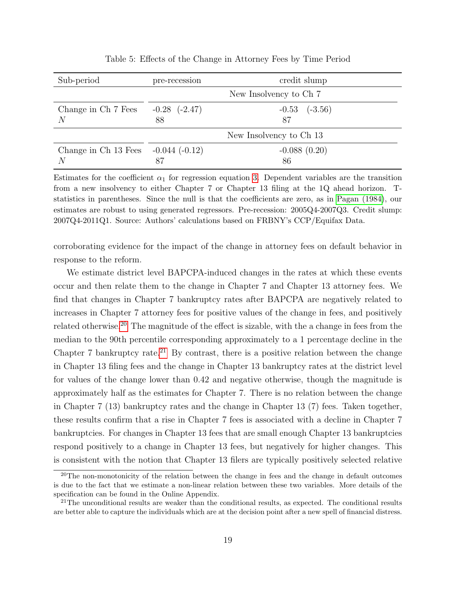<span id="page-19-0"></span>

| Sub-period                                | pre-recession           | credit slump            |
|-------------------------------------------|-------------------------|-------------------------|
|                                           | New Insolvency to Ch 7  |                         |
| Change in Ch 7 Fees<br>N                  | $-0.28$ $(-2.47)$<br>88 | $-0.53$ $(-3.56)$<br>87 |
|                                           |                         | New Insolvency to Ch 13 |
| Change in Ch 13 Fees $-0.044$ ( $-0.12$ ) |                         | $-0.088(0.20)$          |
| N                                         | 87                      | 86                      |

Table 5: Effects of the Change in Attorney Fees by Time Period

Estimates for the coefficient  $\alpha_1$  for regression equation [3.](#page-16-1) Dependent variables are the transition from a new insolvency to either Chapter 7 or Chapter 13 filing at the 1Q ahead horizon. Tstatistics in parentheses. Since the null is that the coefficients are zero, as in [Pagan \(1984\)](#page-35-5), our estimates are robust to using generated regressors. Pre-recession: 2005Q4-2007Q3. Credit slump: 2007Q4-2011Q1. Source: Authors' calculations based on FRBNY's CCP/Equifax Data.

corroborating evidence for the impact of the change in attorney fees on default behavior in response to the reform.

We estimate district level BAPCPA-induced changes in the rates at which these events occur and then relate them to the change in Chapter 7 and Chapter 13 attorney fees. We find that changes in Chapter 7 bankruptcy rates after BAPCPA are negatively related to increases in Chapter 7 attorney fees for positive values of the change in fees, and positively related otherwise.[20](#page-19-1) The magnitude of the effect is sizable, with the a change in fees from the median to the 90th percentile corresponding approximately to a 1 percentage decline in the Chapter 7 bankruptcy rate.<sup>[21](#page-19-2)</sup> By contrast, there is a positive relation between the change in Chapter 13 filing fees and the change in Chapter 13 bankruptcy rates at the district level for values of the change lower than 0.42 and negative otherwise, though the magnitude is approximately half as the estimates for Chapter 7. There is no relation between the change in Chapter 7 (13) bankruptcy rates and the change in Chapter 13 (7) fees. Taken together, these results confirm that a rise in Chapter 7 fees is associated with a decline in Chapter 7 bankruptcies. For changes in Chapter 13 fees that are small enough Chapter 13 bankruptcies respond positively to a change in Chapter 13 fees, but negatively for higher changes. This is consistent with the notion that Chapter 13 filers are typically positively selected relative

<span id="page-19-1"></span><sup>&</sup>lt;sup>20</sup>The non-monotonicity of the relation between the change in fees and the change in default outcomes is due to the fact that we estimate a non-linear relation between these two variables. More details of the specification can be found in the Online Appendix.

<span id="page-19-2"></span><sup>&</sup>lt;sup>21</sup>The unconditional results are weaker than the conditional results, as expected. The conditional results are better able to capture the individuals which are at the decision point after a new spell of financial distress.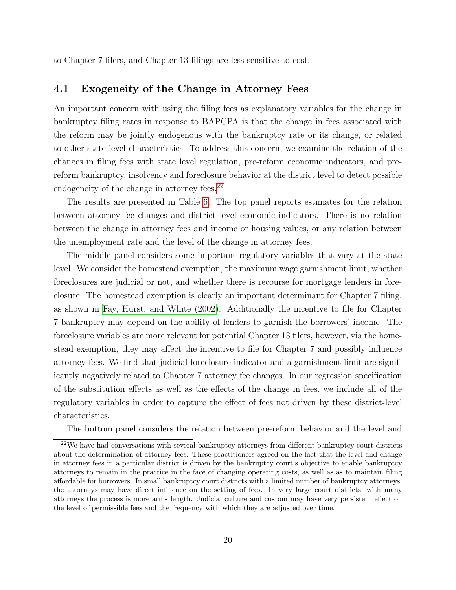to Chapter 7 filers, and Chapter 13 filings are less sensitive to cost.

#### 4.1 Exogeneity of the Change in Attorney Fees

An important concern with using the filing fees as explanatory variables for the change in bankruptcy filing rates in response to BAPCPA is that the change in fees associated with the reform may be jointly endogenous with the bankruptcy rate or its change, or related to other state level characteristics. To address this concern, we examine the relation of the changes in filing fees with state level regulation, pre-reform economic indicators, and prereform bankruptcy, insolvency and foreclosure behavior at the district level to detect possible endogeneity of the change in attorney fees.<sup>[22](#page-20-0)</sup>

The results are presented in Table [6.](#page-21-1) The top panel reports estimates for the relation between attorney fee changes and district level economic indicators. There is no relation between the change in attorney fees and income or housing values, or any relation between the unemployment rate and the level of the change in attorney fees.

The middle panel considers some important regulatory variables that vary at the state level. We consider the homestead exemption, the maximum wage garnishment limit, whether foreclosures are judicial or not, and whether there is recourse for mortgage lenders in foreclosure. The homestead exemption is clearly an important determinant for Chapter 7 filing, as shown in [Fay, Hurst, and White \(2002\)](#page-33-9). Additionally the incentive to file for Chapter 7 bankruptcy may depend on the ability of lenders to garnish the borrowers' income. The foreclosure variables are more relevant for potential Chapter 13 filers, however, via the homestead exemption, they may affect the incentive to file for Chapter 7 and possibly influence attorney fees. We find that judicial foreclosure indicator and a garnishment limit are significantly negatively related to Chapter 7 attorney fee changes. In our regression specification of the substitution effects as well as the effects of the change in fees, we include all of the regulatory variables in order to capture the effect of fees not driven by these district-level characteristics.

<span id="page-20-0"></span>The bottom panel considers the relation between pre-reform behavior and the level and

<sup>&</sup>lt;sup>22</sup>We have had conversations with several bankruptcy attorneys from different bankruptcy court districts about the determination of attorney fees. These practitioners agreed on the fact that the level and change in attorney fees in a particular district is driven by the bankruptcy court's objective to enable bankruptcy attorneys to remain in the practice in the face of changing operating costs, as well as as to maintain filing affordable for borrowers. In small bankruptcy court districts with a limited number of bankruptcy attorneys, the attorneys may have direct influence on the setting of fees. In very large court districts, with many attorneys the process is more arms length. Judicial culture and custom may have very persistent effect on the level of permissible fees and the frequency with which they are adjusted over time.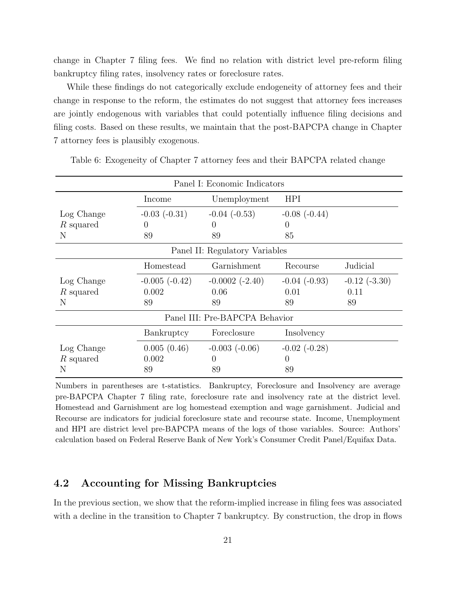change in Chapter 7 filing fees. We find no relation with district level pre-reform filing bankruptcy filing rates, insolvency rates or foreclosure rates.

While these findings do not categorically exclude endogeneity of attorney fees and their change in response to the reform, the estimates do not suggest that attorney fees increases are jointly endogenous with variables that could potentially influence filing decisions and filing costs. Based on these results, we maintain that the post-BAPCPA change in Chapter 7 attorney fees is plausibly exogenous.

|             |                   | Panel I: Economic Indicators   |                   |                   |
|-------------|-------------------|--------------------------------|-------------------|-------------------|
|             | Income            | Unemployment                   | <b>HPI</b>        |                   |
| Log Change  | $-0.03$ $(-0.31)$ | $-0.04$ $(-0.53)$              | $-0.08$ $(-0.44)$ |                   |
| R squared   | $\theta$          | $\left( \right)$               | $\theta$          |                   |
| N           | 89                | 89                             | 85                |                   |
|             |                   | Panel II: Regulatory Variables |                   |                   |
|             | Homestead         | Garnishment                    | Recourse          | Judicial          |
| Log Change  | $-0.005(-0.42)$   | $-0.0002$ $(-2.40)$            | $-0.04$ $(-0.93)$ | $-0.12$ $(-3.30)$ |
| $R$ squared | 0.002             | 0.06                           | 0.01              | 0.11              |
| N           | 89                | 89                             | 89                | 89                |
|             |                   | Panel III: Pre-BAPCPA Behavior |                   |                   |
|             | Bankruptcy        | Foreclosure                    | Insolvency        |                   |
| Log Change  | 0.005(0.46)       | $-0.003$ $(-0.06)$             | $-0.02$ $(-0.28)$ |                   |
| R squared   | 0.002             | $\Omega$                       | $\theta$          |                   |
| Ν           | 89                | 89                             | 89                |                   |

<span id="page-21-1"></span>Table 6: Exogeneity of Chapter 7 attorney fees and their BAPCPA related change

Numbers in parentheses are t-statistics. Bankruptcy, Foreclosure and Insolvency are average pre-BAPCPA Chapter 7 filing rate, foreclosure rate and insolvency rate at the district level. Homestead and Garnishment are log homestead exemption and wage garnishment. Judicial and Recourse are indicators for judicial foreclosure state and recourse state. Income, Unemployment and HPI are district level pre-BAPCPA means of the logs of those variables. Source: Authors' calculation based on Federal Reserve Bank of New York's Consumer Credit Panel/Equifax Data.

#### <span id="page-21-0"></span>4.2 Accounting for Missing Bankruptcies

In the previous section, we show that the reform-implied increase in filing fees was associated with a decline in the transition to Chapter 7 bankruptcy. By construction, the drop in flows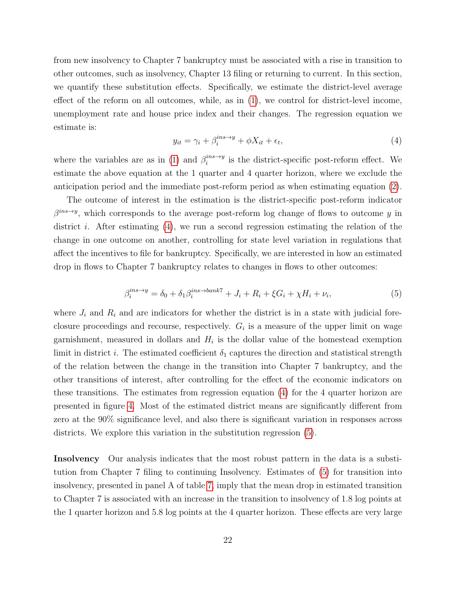from new insolvency to Chapter 7 bankruptcy must be associated with a rise in transition to other outcomes, such as insolvency, Chapter 13 filing or returning to current. In this section, we quantify these substitution effects. Specifically, we estimate the district-level average effect of the reform on all outcomes, while, as in [\(1\)](#page-11-2), we control for district-level income, unemployment rate and house price index and their changes. The regression equation we estimate is:

<span id="page-22-0"></span>
$$
y_{it} = \gamma_i + \beta_i^{ins \to y} + \phi X_{it} + \epsilon_t,\tag{4}
$$

where the variables are as in [\(1\)](#page-11-2) and  $\beta_i^{ins \to y}$  $i^{ins \rightarrow y}$  is the district-specific post-reform effect. We estimate the above equation at the 1 quarter and 4 quarter horizon, where we exclude the anticipation period and the immediate post-reform period as when estimating equation [\(2\)](#page-15-1).

The outcome of interest in the estimation is the district-specific post-reform indicator  $\beta^{ins \to y}$ , which corresponds to the average post-reform log change of flows to outcome y in district *i*. After estimating [\(4\)](#page-22-0), we run a second regression estimating the relation of the change in one outcome on another, controlling for state level variation in regulations that affect the incentives to file for bankruptcy. Specifically, we are interested in how an estimated drop in flows to Chapter 7 bankruptcy relates to changes in flows to other outcomes:

<span id="page-22-1"></span>
$$
\beta_i^{ins \to y} = \delta_0 + \delta_1 \beta_i^{ins \to bank7} + J_i + R_i + \xi G_i + \chi H_i + \nu_i,\tag{5}
$$

where  $J_i$  and  $R_i$  and are indicators for whether the district is in a state with judicial foreclosure proceedings and recourse, respectively.  $G_i$  is a measure of the upper limit on wage garnishment, measured in dollars and  $H_i$  is the dollar value of the homestead exemption limit in district i. The estimated coefficient  $\delta_1$  captures the direction and statistical strength of the relation between the change in the transition into Chapter 7 bankruptcy, and the other transitions of interest, after controlling for the effect of the economic indicators on these transitions. The estimates from regression equation [\(4\)](#page-22-0) for the 4 quarter horizon are presented in figure [4.](#page-23-0) Most of the estimated district means are significantly different from zero at the 90% significance level, and also there is significant variation in responses across districts. We explore this variation in the substitution regression [\(5\)](#page-22-1).

Insolvency Our analysis indicates that the most robust pattern in the data is a substitution from Chapter 7 filing to continuing Insolvency. Estimates of [\(5\)](#page-22-1) for transition into insolvency, presented in panel A of table [7,](#page-24-0) imply that the mean drop in estimated transition to Chapter 7 is associated with an increase in the transition to insolvency of 1.8 log points at the 1 quarter horizon and 5.8 log points at the 4 quarter horizon. These effects are very large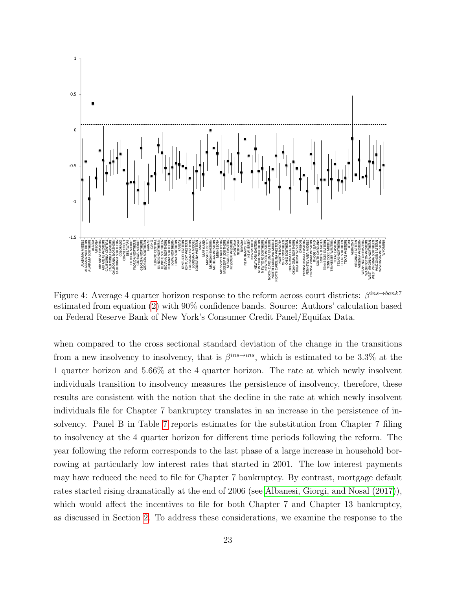<span id="page-23-0"></span>

Figure 4: Average 4 quarter horizon response to the reform across court districts:  $\beta^{ins \to bank7}$ estimated from equation [\(2\)](#page-15-1) with 90% confidence bands. Source: Authors' calculation based on Federal Reserve Bank of New York's Consumer Credit Panel/Equifax Data.

when compared to the cross sectional standard deviation of the change in the transitions from a new insolvency to insolvency, that is  $\beta^{ins\rightarrow ins}$ , which is estimated to be 3.3% at the 1 quarter horizon and 5.66% at the 4 quarter horizon. The rate at which newly insolvent individuals transition to insolvency measures the persistence of insolvency, therefore, these results are consistent with the notion that the decline in the rate at which newly insolvent individuals file for Chapter 7 bankruptcy translates in an increase in the persistence of insolvency. Panel B in Table [7](#page-24-0) reports estimates for the substitution from Chapter 7 filing to insolvency at the 4 quarter horizon for different time periods following the reform. The year following the reform corresponds to the last phase of a large increase in household borrowing at particularly low interest rates that started in 2001. The low interest payments may have reduced the need to file for Chapter 7 bankruptcy. By contrast, mortgage default rates started rising dramatically at the end of 2006 (see [Albanesi, Giorgi, and Nosal \(2017\)](#page-32-4)), which would affect the incentives to file for both Chapter 7 and Chapter 13 bankruptcy, as discussed in Section [2.](#page-6-0) To address these considerations, we examine the response to the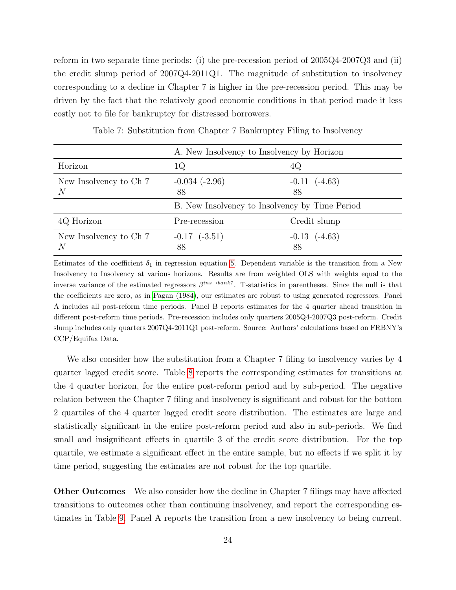reform in two separate time periods: (i) the pre-recession period of 2005Q4-2007Q3 and (ii) the credit slump period of 2007Q4-2011Q1. The magnitude of substitution to insolvency corresponding to a decline in Chapter 7 is higher in the pre-recession period. This may be driven by the fact that the relatively good economic conditions in that period made it less costly not to file for bankruptcy for distressed borrowers.

<span id="page-24-0"></span>

|                             | A. New Insolvency to Insolvency by Horizon     |                         |  |
|-----------------------------|------------------------------------------------|-------------------------|--|
| Horizon                     | 1Q                                             | 4Q                      |  |
| New Insolvency to Ch 7<br>N | $-0.034$ $(-2.96)$<br>88                       | $-0.11$ $(-4.63)$<br>88 |  |
|                             | B. New Insolvency to Insolvency by Time Period |                         |  |
| 4Q Horizon                  | Pre-recession                                  | Credit slump            |  |
| New Insolvency to Ch 7      | $-0.17$ $(-3.51)$<br>88                        | $-0.13$ $(-4.63)$<br>88 |  |

Table 7: Substitution from Chapter 7 Bankruptcy Filing to Insolvency

Estimates of the coefficient  $\delta_1$  in regression equation [5.](#page-22-1) Dependent variable is the transition from a New Insolvency to Insolvency at various horizons. Results are from weighted OLS with weights equal to the inverse variance of the estimated regressors  $\beta^{ins \to bank7}$ . T-statistics in parentheses. Since the null is that the coefficients are zero, as in [Pagan \(1984\)](#page-35-5), our estimates are robust to using generated regressors. Panel A includes all post-reform time periods. Panel B reports estimates for the 4 quarter ahead transition in different post-reform time periods. Pre-recession includes only quarters 2005Q4-2007Q3 post-reform. Credit slump includes only quarters 2007Q4-2011Q1 post-reform. Source: Authors' calculations based on FRBNY's CCP/Equifax Data.

We also consider how the substitution from a Chapter 7 filing to insolvency varies by 4 quarter lagged credit score. Table [8](#page-25-0) reports the corresponding estimates for transitions at the 4 quarter horizon, for the entire post-reform period and by sub-period. The negative relation between the Chapter 7 filing and insolvency is significant and robust for the bottom 2 quartiles of the 4 quarter lagged credit score distribution. The estimates are large and statistically significant in the entire post-reform period and also in sub-periods. We find small and insignificant effects in quartile 3 of the credit score distribution. For the top quartile, we estimate a significant effect in the entire sample, but no effects if we split it by time period, suggesting the estimates are not robust for the top quartile.

Other Outcomes We also consider how the decline in Chapter 7 filings may have affected transitions to outcomes other than continuing insolvency, and report the corresponding estimates in Table [9.](#page-26-0) Panel A reports the transition from a new insolvency to being current.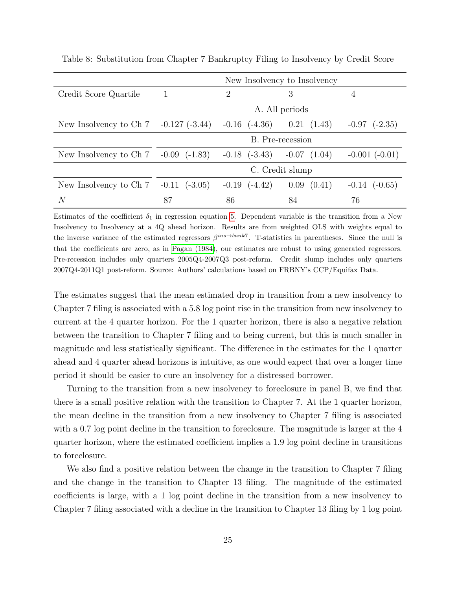|                        |                      |                      | New Insolvency to Insolvency |                      |
|------------------------|----------------------|----------------------|------------------------------|----------------------|
| Credit Score Quartile  |                      | 2                    | 3                            | 4                    |
|                        | A. All periods       |                      |                              |                      |
| New Insolvency to Ch 7 | $-0.127(-3.44)$      | $-0.16$ $(-4.36)$    | 0.21<br>(1.43)               | $(-2.35)$<br>$-0.97$ |
|                        |                      |                      | B. Pre-recession             |                      |
| New Insolvency to Ch 7 | $-0.09$<br>$(-1.83)$ | $-0.18$ $(-3.43)$    | $-0.07$<br>(1.04)            | $-0.001$ $(-0.01)$   |
|                        |                      |                      | C. Credit slump              |                      |
| New Insolvency to Ch 7 | $-0.11$<br>$(-3.05)$ | $-0.19$<br>$(-4.42)$ | (0.41)<br>0.09               | $(-0.65)$<br>$-0.14$ |
| N                      | 87                   | 86                   | 84                           | 76                   |

<span id="page-25-0"></span>Table 8: Substitution from Chapter 7 Bankruptcy Filing to Insolvency by Credit Score

Estimates of the coefficient  $\delta_1$  in regression equation [5.](#page-22-1) Dependent variable is the transition from a New Insolvency to Insolvency at a 4Q ahead horizon. Results are from weighted OLS with weights equal to the inverse variance of the estimated regressors  $\beta^{ins \to bank7}$ . T-statistics in parentheses. Since the null is that the coefficients are zero, as in [Pagan \(1984\)](#page-35-5), our estimates are robust to using generated regressors. Pre-recession includes only quarters 2005Q4-2007Q3 post-reform. Credit slump includes only quarters 2007Q4-2011Q1 post-reform. Source: Authors' calculations based on FRBNY's CCP/Equifax Data.

The estimates suggest that the mean estimated drop in transition from a new insolvency to Chapter 7 filing is associated with a 5.8 log point rise in the transition from new insolvency to current at the 4 quarter horizon. For the 1 quarter horizon, there is also a negative relation between the transition to Chapter 7 filing and to being current, but this is much smaller in magnitude and less statistically significant. The difference in the estimates for the 1 quarter ahead and 4 quarter ahead horizons is intuitive, as one would expect that over a longer time period it should be easier to cure an insolvency for a distressed borrower.

Turning to the transition from a new insolvency to foreclosure in panel B, we find that there is a small positive relation with the transition to Chapter 7. At the 1 quarter horizon, the mean decline in the transition from a new insolvency to Chapter 7 filing is associated with a 0.7 log point decline in the transition to foreclosure. The magnitude is larger at the 4 quarter horizon, where the estimated coefficient implies a 1.9 log point decline in transitions to foreclosure.

We also find a positive relation between the change in the transition to Chapter 7 filing and the change in the transition to Chapter 13 filing. The magnitude of the estimated coefficients is large, with a 1 log point decline in the transition from a new insolvency to Chapter 7 filing associated with a decline in the transition to Chapter 13 filing by 1 log point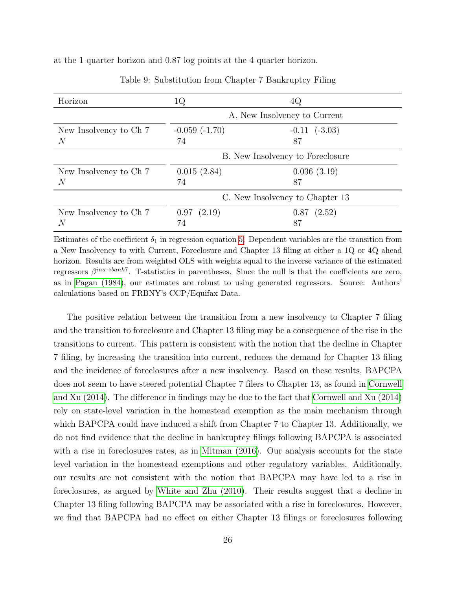<span id="page-26-0"></span>at the 1 quarter horizon and 0.87 log points at the 4 quarter horizon.

| Horizon                     | 1Q                              | 4Q                               |  |  |
|-----------------------------|---------------------------------|----------------------------------|--|--|
|                             |                                 | A. New Insolvency to Current     |  |  |
| New Insolvency to Ch 7<br>N | $-0.059(-1.70)$<br>74           | $-0.11$ $(-3.03)$<br>87          |  |  |
|                             |                                 | B. New Insolvency to Foreclosure |  |  |
| New Insolvency to Ch 7<br>N | 0.015(2.84)<br>74               | 0.036(3.19)<br>87                |  |  |
|                             | C. New Insolvency to Chapter 13 |                                  |  |  |
| New Insolvency to Ch 7<br>N | 0.97(2.19)<br>74                | $0.87$ $(2.52)$<br>87            |  |  |

Table 9: Substitution from Chapter 7 Bankruptcy Filing

Estimates of the coefficient  $\delta_1$  in regression equation [5.](#page-22-1) Dependent variables are the transition from a New Insolvency to with Current, Foreclosure and Chapter 13 filing at either a 1Q or 4Q ahead horizon. Results are from weighted OLS with weights equal to the inverse variance of the estimated regressors  $\beta^{ins \to bank7}$ . T-statistics in parentheses. Since the null is that the coefficients are zero, as in [Pagan \(1984\)](#page-35-5), our estimates are robust to using generated regressors. Source: Authors' calculations based on FRBNY's CCP/Equifax Data.

The positive relation between the transition from a new insolvency to Chapter 7 filing and the transition to foreclosure and Chapter 13 filing may be a consequence of the rise in the transitions to current. This pattern is consistent with the notion that the decline in Chapter 7 filing, by increasing the transition into current, reduces the demand for Chapter 13 filing and the incidence of foreclosures after a new insolvency. Based on these results, BAPCPA does not seem to have steered potential Chapter 7 filers to Chapter 13, as found in [Cornwell](#page-33-11) [and Xu \(2014\)](#page-33-11). The difference in findings may be due to the fact that [Cornwell and Xu \(2014\)](#page-33-11) rely on state-level variation in the homestead exemption as the main mechanism through which BAPCPA could have induced a shift from Chapter 7 to Chapter 13. Additionally, we do not find evidence that the decline in bankruptcy filings following BAPCPA is associated with a rise in foreclosures rates, as in [Mitman \(2016\)](#page-34-10). Our analysis accounts for the state level variation in the homestead exemptions and other regulatory variables. Additionally, our results are not consistent with the notion that BAPCPA may have led to a rise in foreclosures, as argued by [White and Zhu \(2010\)](#page-35-6). Their results suggest that a decline in Chapter 13 filing following BAPCPA may be associated with a rise in foreclosures. However, we find that BAPCPA had no effect on either Chapter 13 filings or foreclosures following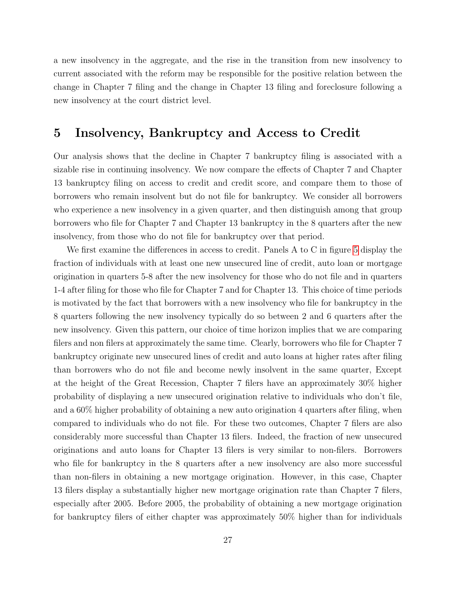a new insolvency in the aggregate, and the rise in the transition from new insolvency to current associated with the reform may be responsible for the positive relation between the change in Chapter 7 filing and the change in Chapter 13 filing and foreclosure following a new insolvency at the court district level.

#### <span id="page-27-0"></span>5 Insolvency, Bankruptcy and Access to Credit

Our analysis shows that the decline in Chapter 7 bankruptcy filing is associated with a sizable rise in continuing insolvency. We now compare the effects of Chapter 7 and Chapter 13 bankruptcy filing on access to credit and credit score, and compare them to those of borrowers who remain insolvent but do not file for bankruptcy. We consider all borrowers who experience a new insolvency in a given quarter, and then distinguish among that group borrowers who file for Chapter 7 and Chapter 13 bankruptcy in the 8 quarters after the new insolvency, from those who do not file for bankruptcy over that period.

We first examine the differences in access to credit. Panels A to C in figure [5](#page-29-0) display the fraction of individuals with at least one new unsecured line of credit, auto loan or mortgage origination in quarters 5-8 after the new insolvency for those who do not file and in quarters 1-4 after filing for those who file for Chapter 7 and for Chapter 13. This choice of time periods is motivated by the fact that borrowers with a new insolvency who file for bankruptcy in the 8 quarters following the new insolvency typically do so between 2 and 6 quarters after the new insolvency. Given this pattern, our choice of time horizon implies that we are comparing filers and non filers at approximately the same time. Clearly, borrowers who file for Chapter 7 bankruptcy originate new unsecured lines of credit and auto loans at higher rates after filing than borrowers who do not file and become newly insolvent in the same quarter, Except at the height of the Great Recession, Chapter 7 filers have an approximately 30% higher probability of displaying a new unsecured origination relative to individuals who don't file, and a 60% higher probability of obtaining a new auto origination 4 quarters after filing, when compared to individuals who do not file. For these two outcomes, Chapter 7 filers are also considerably more successful than Chapter 13 filers. Indeed, the fraction of new unsecured originations and auto loans for Chapter 13 filers is very similar to non-filers. Borrowers who file for bankruptcy in the 8 quarters after a new insolvency are also more successful than non-filers in obtaining a new mortgage origination. However, in this case, Chapter 13 filers display a substantially higher new mortgage origination rate than Chapter 7 filers, especially after 2005. Before 2005, the probability of obtaining a new mortgage origination for bankruptcy filers of either chapter was approximately 50% higher than for individuals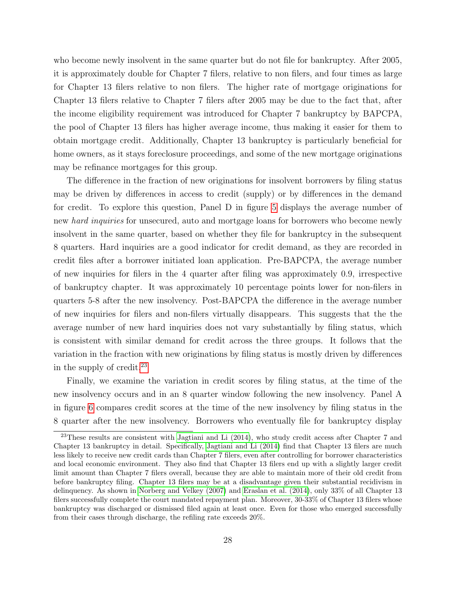who become newly insolvent in the same quarter but do not file for bankruptcy. After 2005, it is approximately double for Chapter 7 filers, relative to non filers, and four times as large for Chapter 13 filers relative to non filers. The higher rate of mortgage originations for Chapter 13 filers relative to Chapter 7 filers after 2005 may be due to the fact that, after the income eligibility requirement was introduced for Chapter 7 bankruptcy by BAPCPA, the pool of Chapter 13 filers has higher average income, thus making it easier for them to obtain mortgage credit. Additionally, Chapter 13 bankruptcy is particularly beneficial for home owners, as it stays foreclosure proceedings, and some of the new mortgage originations may be refinance mortgages for this group.

The difference in the fraction of new originations for insolvent borrowers by filing status may be driven by differences in access to credit (supply) or by differences in the demand for credit. To explore this question, Panel D in figure [5](#page-29-0) displays the average number of new *hard inquiries* for unsecured, auto and mortgage loans for borrowers who become newly insolvent in the same quarter, based on whether they file for bankruptcy in the subsequent 8 quarters. Hard inquiries are a good indicator for credit demand, as they are recorded in credit files after a borrower initiated loan application. Pre-BAPCPA, the average number of new inquiries for filers in the 4 quarter after filing was approximately 0.9, irrespective of bankruptcy chapter. It was approximately 10 percentage points lower for non-filers in quarters 5-8 after the new insolvency. Post-BAPCPA the difference in the average number of new inquiries for filers and non-filers virtually disappears. This suggests that the the average number of new hard inquiries does not vary substantially by filing status, which is consistent with similar demand for credit across the three groups. It follows that the variation in the fraction with new originations by filing status is mostly driven by differences in the supply of credit.[23](#page-28-0)

Finally, we examine the variation in credit scores by filing status, at the time of the new insolvency occurs and in an 8 quarter window following the new insolvency. Panel A in figure [6](#page-30-0) compares credit scores at the time of the new insolvency by filing status in the 8 quarter after the new insolvency. Borrowers who eventually file for bankruptcy display

<span id="page-28-0"></span><sup>&</sup>lt;sup>23</sup>These results are consistent with [Jagtiani and Li \(2014\)](#page-34-9), who study credit access after Chapter 7 and Chapter 13 bankruptcy in detail. Specifically, [Jagtiani and Li \(2014\)](#page-34-9) find that Chapter 13 filers are much less likely to receive new credit cards than Chapter 7 filers, even after controlling for borrower characteristics and local economic environment. They also find that Chapter 13 filers end up with a slightly larger credit limit amount than Chapter 7 filers overall, because they are able to maintain more of their old credit from before bankruptcy filing. Chapter 13 filers may be at a disadvantage given their substantial recidivism in delinquency. As shown in [Norberg and Velkey \(2007\)](#page-34-13) and [Eraslan et al. \(2014\)](#page-33-12), only 33% of all Chapter 13 filers successfully complete the court mandated repayment plan. Moreover, 30-33% of Chapter 13 filers whose bankruptcy was discharged or dismissed filed again at least once. Even for those who emerged successfully from their cases through discharge, the refiling rate exceeds 20%.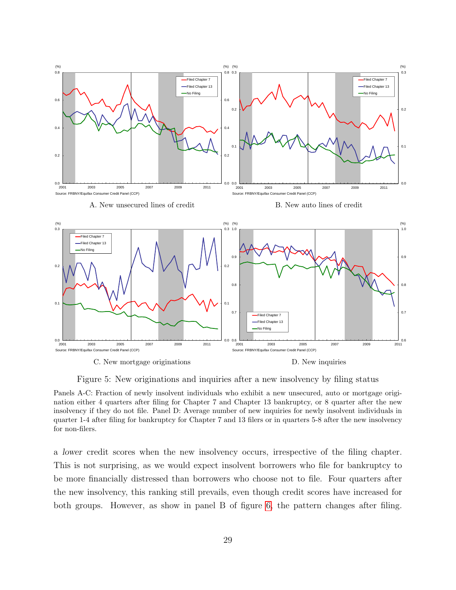<span id="page-29-0"></span>

Figure 5: New originations and inquiries after a new insolvency by filing status

Panels A-C: Fraction of newly insolvent individuals who exhibit a new unsecured, auto or mortgage origination either 4 quarters after filing for Chapter 7 and Chapter 13 bankruptcy, or 8 quarter after the new insolvency if they do not file. Panel D: Average number of new inquiries for newly insolvent individuals in quarter 1-4 after filing for bankruptcy for Chapter 7 and 13 filers or in quarters 5-8 after the new insolvency for non-filers.

a lower credit scores when the new insolvency occurs, irrespective of the filing chapter. This is not surprising, as we would expect insolvent borrowers who file for bankruptcy to be more financially distressed than borrowers who choose not to file. Four quarters after the new insolvency, this ranking still prevails, even though credit scores have increased for both groups. However, as show in panel B of figure [6,](#page-30-0) the pattern changes after filing.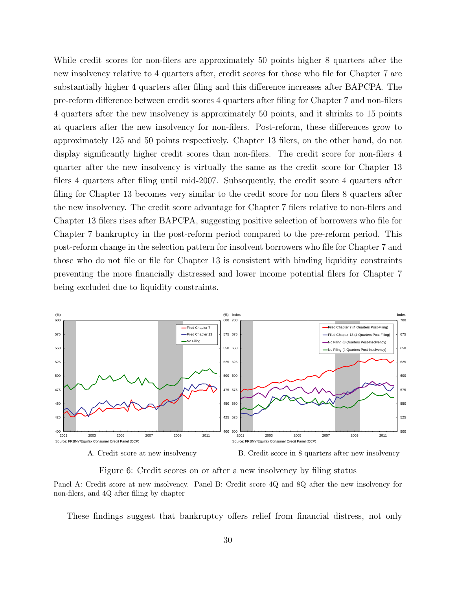While credit scores for non-filers are approximately 50 points higher 8 quarters after the new insolvency relative to 4 quarters after, credit scores for those who file for Chapter 7 are substantially higher 4 quarters after filing and this difference increases after BAPCPA. The pre-reform difference between credit scores 4 quarters after filing for Chapter 7 and non-filers 4 quarters after the new insolvency is approximately 50 points, and it shrinks to 15 points at quarters after the new insolvency for non-filers. Post-reform, these differences grow to approximately 125 and 50 points respectively. Chapter 13 filers, on the other hand, do not display significantly higher credit scores than non-filers. The credit score for non-filers 4 quarter after the new insolvency is virtually the same as the credit score for Chapter 13 filers 4 quarters after filing until mid-2007. Subsequently, the credit score 4 quarters after filing for Chapter 13 becomes very similar to the credit score for non filers 8 quarters after the new insolvency. The credit score advantage for Chapter 7 filers relative to non-filers and Chapter 13 filers rises after BAPCPA, suggesting positive selection of borrowers who file for Chapter 7 bankruptcy in the post-reform period compared to the pre-reform period. This post-reform change in the selection pattern for insolvent borrowers who file for Chapter 7 and those who do not file or file for Chapter 13 is consistent with binding liquidity constraints preventing the more financially distressed and lower income potential filers for Chapter 7 being excluded due to liquidity constraints.

<span id="page-30-0"></span>

Figure 6: Credit scores on or after a new insolvency by filing status

Panel A: Credit score at new insolvency. Panel B: Credit score 4Q and 8Q after the new insolvency for non-filers, and 4Q after filing by chapter

These findings suggest that bankruptcy offers relief from financial distress, not only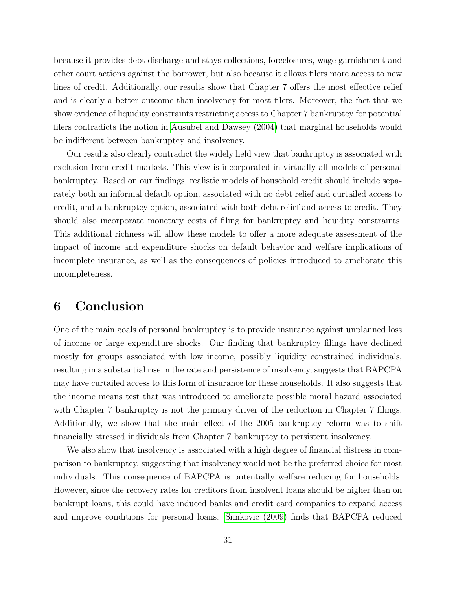because it provides debt discharge and stays collections, foreclosures, wage garnishment and other court actions against the borrower, but also because it allows filers more access to new lines of credit. Additionally, our results show that Chapter 7 offers the most effective relief and is clearly a better outcome than insolvency for most filers. Moreover, the fact that we show evidence of liquidity constraints restricting access to Chapter 7 bankruptcy for potential filers contradicts the notion in [Ausubel and Dawsey \(2004\)](#page-32-5) that marginal households would be indifferent between bankruptcy and insolvency.

Our results also clearly contradict the widely held view that bankruptcy is associated with exclusion from credit markets. This view is incorporated in virtually all models of personal bankruptcy. Based on our findings, realistic models of household credit should include separately both an informal default option, associated with no debt relief and curtailed access to credit, and a bankruptcy option, associated with both debt relief and access to credit. They should also incorporate monetary costs of filing for bankruptcy and liquidity constraints. This additional richness will allow these models to offer a more adequate assessment of the impact of income and expenditure shocks on default behavior and welfare implications of incomplete insurance, as well as the consequences of policies introduced to ameliorate this incompleteness.

### <span id="page-31-0"></span>6 Conclusion

One of the main goals of personal bankruptcy is to provide insurance against unplanned loss of income or large expenditure shocks. Our finding that bankruptcy filings have declined mostly for groups associated with low income, possibly liquidity constrained individuals, resulting in a substantial rise in the rate and persistence of insolvency, suggests that BAPCPA may have curtailed access to this form of insurance for these households. It also suggests that the income means test that was introduced to ameliorate possible moral hazard associated with Chapter 7 bankruptcy is not the primary driver of the reduction in Chapter 7 filings. Additionally, we show that the main effect of the 2005 bankruptcy reform was to shift financially stressed individuals from Chapter 7 bankruptcy to persistent insolvency.

We also show that insolvency is associated with a high degree of financial distress in comparison to bankruptcy, suggesting that insolvency would not be the preferred choice for most individuals. This consequence of BAPCPA is potentially welfare reducing for households. However, since the recovery rates for creditors from insolvent loans should be higher than on bankrupt loans, this could have induced banks and credit card companies to expand access and improve conditions for personal loans. [Simkovic \(2009\)](#page-35-7) finds that BAPCPA reduced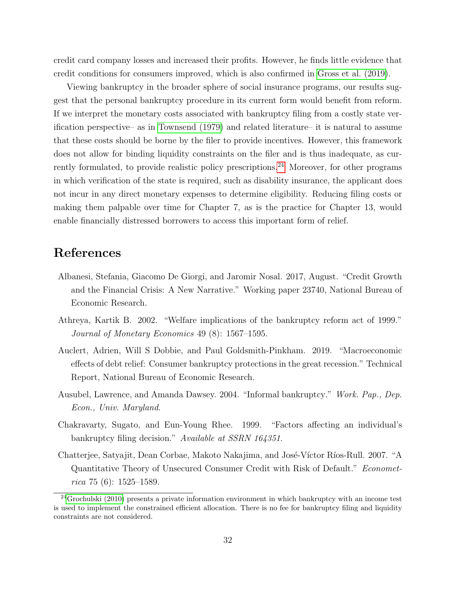credit card company losses and increased their profits. However, he finds little evidence that credit conditions for consumers improved, which is also confirmed in [Gross et al. \(2019\)](#page-33-3).

Viewing bankruptcy in the broader sphere of social insurance programs, our results suggest that the personal bankruptcy procedure in its current form would benefit from reform. If we interpret the monetary costs associated with bankruptcy filing from a costly state verification perspective– as in [Townsend \(1979\)](#page-35-8) and related literature– it is natural to assume that these costs should be borne by the filer to provide incentives. However, this framework does not allow for binding liquidity constraints on the filer and is thus inadequate, as cur-rently formulated, to provide realistic policy prescriptions.<sup>[24](#page-32-6)</sup> Moreover, for other programs in which verification of the state is required, such as disability insurance, the applicant does not incur in any direct monetary expenses to determine eligibility. Reducing filing costs or making them palpable over time for Chapter 7, as is the practice for Chapter 13, would enable financially distressed borrowers to access this important form of relief.

### References

- <span id="page-32-4"></span>Albanesi, Stefania, Giacomo De Giorgi, and Jaromir Nosal. 2017, August. "Credit Growth and the Financial Crisis: A New Narrative." Working paper 23740, National Bureau of Economic Research.
- <span id="page-32-3"></span>Athreya, Kartik B. 2002. "Welfare implications of the bankruptcy reform act of 1999." Journal of Monetary Economics 49 (8): 1567–1595.
- <span id="page-32-1"></span>Auclert, Adrien, Will S Dobbie, and Paul Goldsmith-Pinkham. 2019. "Macroeconomic effects of debt relief: Consumer bankruptcy protections in the great recession." Technical Report, National Bureau of Economic Research.
- <span id="page-32-5"></span>Ausubel, Lawrence, and Amanda Dawsey. 2004. "Informal bankruptcy." Work. Pap., Dep. Econ., Univ. Maryland.
- <span id="page-32-0"></span>Chakravarty, Sugato, and Eun-Young Rhee. 1999. "Factors affecting an individual's bankruptcy filing decision." Available at SSRN 164351.
- <span id="page-32-2"></span>Chatterjee, Satyajit, Dean Corbae, Makoto Nakajima, and José-Víctor Ríos-Rull. 2007. "A Quantitative Theory of Unsecured Consumer Credit with Risk of Default." Econometrica 75 (6):  $1525-1589$ .

<span id="page-32-6"></span> $24G$ rochulski (2010) presents a private information environment in which bankruptcy with an income test is used to implement the constrained efficient allocation. There is no fee for bankruptcy filing and liquidity constraints are not considered.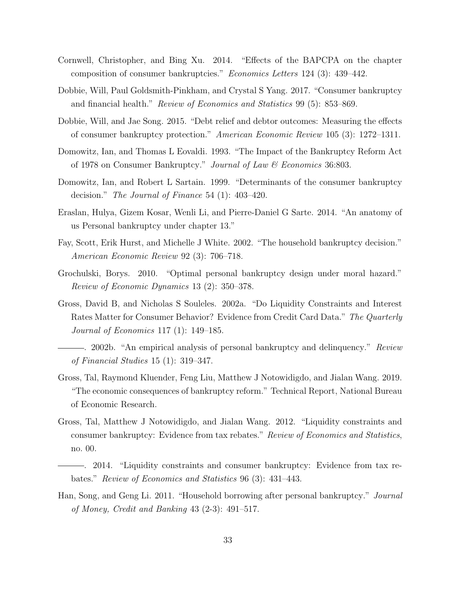- <span id="page-33-11"></span>Cornwell, Christopher, and Bing Xu. 2014. "Effects of the BAPCPA on the chapter composition of consumer bankruptcies." Economics Letters 124 (3): 439–442.
- <span id="page-33-5"></span>Dobbie, Will, Paul Goldsmith-Pinkham, and Crystal S Yang. 2017. "Consumer bankruptcy and financial health." Review of Economics and Statistics 99 (5): 853–869.
- <span id="page-33-4"></span>Dobbie, Will, and Jae Song. 2015. "Debt relief and debtor outcomes: Measuring the effects of consumer bankruptcy protection." American Economic Review 105 (3): 1272–1311.
- <span id="page-33-6"></span>Domowitz, Ian, and Thomas L Eovaldi. 1993. "The Impact of the Bankruptcy Reform Act of 1978 on Consumer Bankruptcy." Journal of Law & Economics 36:803.
- <span id="page-33-7"></span>Domowitz, Ian, and Robert L Sartain. 1999. "Determinants of the consumer bankruptcy decision." *The Journal of Finance* 54 (1): 403-420.
- <span id="page-33-12"></span>Eraslan, Hulya, Gizem Kosar, Wenli Li, and Pierre-Daniel G Sarte. 2014. "An anatomy of us Personal bankruptcy under chapter 13."
- <span id="page-33-9"></span>Fay, Scott, Erik Hurst, and Michelle J White. 2002. "The household bankruptcy decision." American Economic Review 92 (3): 706–718.
- <span id="page-33-13"></span>Grochulski, Borys. 2010. "Optimal personal bankruptcy design under moral hazard." Review of Economic Dynamics 13 (2): 350–378.
- <span id="page-33-8"></span><span id="page-33-2"></span>Gross, David B, and Nicholas S Souleles. 2002a. "Do Liquidity Constraints and Interest Rates Matter for Consumer Behavior? Evidence from Credit Card Data." The Quarterly Journal of Economics 117 (1): 149–185.
	- . 2002b. "An empirical analysis of personal bankruptcy and delinquency." Review of Financial Studies 15 (1): 319–347.
- <span id="page-33-3"></span>Gross, Tal, Raymond Kluender, Feng Liu, Matthew J Notowidigdo, and Jialan Wang. 2019. "The economic consequences of bankruptcy reform." Technical Report, National Bureau of Economic Research.
- <span id="page-33-0"></span>Gross, Tal, Matthew J Notowidigdo, and Jialan Wang. 2012. "Liquidity constraints and consumer bankruptcy: Evidence from tax rebates." Review of Economics and Statistics, no. 00.
- <span id="page-33-1"></span>. 2014. "Liquidity constraints and consumer bankruptcy: Evidence from tax rebates." Review of Economics and Statistics 96 (3): 431–443.
- <span id="page-33-10"></span>Han, Song, and Geng Li. 2011. "Household borrowing after personal bankruptcy." Journal of Money, Credit and Banking 43 (2-3): 491–517.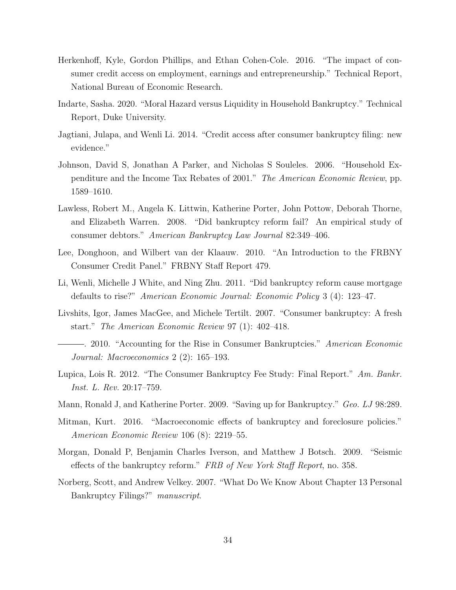- <span id="page-34-8"></span>Herkenhoff, Kyle, Gordon Phillips, and Ethan Cohen-Cole. 2016. "The impact of consumer credit access on employment, earnings and entrepreneurship." Technical Report, National Bureau of Economic Research.
- <span id="page-34-4"></span>Indarte, Sasha. 2020. "Moral Hazard versus Liquidity in Household Bankruptcy." Technical Report, Duke University.
- <span id="page-34-9"></span>Jagtiani, Julapa, and Wenli Li. 2014. "Credit access after consumer bankruptcy filing: new evidence."
- <span id="page-34-5"></span>Johnson, David S, Jonathan A Parker, and Nicholas S Souleles. 2006. "Household Expenditure and the Income Tax Rebates of 2001." The American Economic Review, pp. 1589–1610.
- <span id="page-34-1"></span>Lawless, Robert M., Angela K. Littwin, Katherine Porter, John Pottow, Deborah Thorne, and Elizabeth Warren. 2008. "Did bankruptcy reform fail? An empirical study of consumer debtors." American Bankruptcy Law Journal 82:349–406.
- <span id="page-34-12"></span>Lee, Donghoon, and Wilbert van der Klaauw. 2010. "An Introduction to the FRBNY Consumer Credit Panel." FRBNY Staff Report 479.
- <span id="page-34-7"></span>Li, Wenli, Michelle J White, and Ning Zhu. 2011. "Did bankruptcy reform cause mortgage defaults to rise?" American Economic Journal: Economic Policy 3 (4): 123–47.
- <span id="page-34-0"></span>Livshits, Igor, James MacGee, and Michele Tertilt. 2007. "Consumer bankruptcy: A fresh start." The American Economic Review 97 (1): 402–418.
- <span id="page-34-11"></span>. 2010. "Accounting for the Rise in Consumer Bankruptcies." American Economic Journal: Macroeconomics 2 (2): 165–193.
- <span id="page-34-2"></span>Lupica, Lois R. 2012. "The Consumer Bankruptcy Fee Study: Final Report." Am. Bankr. Inst. L. Rev. 20:17–759.
- <span id="page-34-3"></span>Mann, Ronald J, and Katherine Porter. 2009. "Saving up for Bankruptcy." Geo. LJ 98:289.
- <span id="page-34-10"></span>Mitman, Kurt. 2016. "Macroeconomic effects of bankruptcy and foreclosure policies." American Economic Review 106 (8): 2219–55.
- <span id="page-34-6"></span>Morgan, Donald P, Benjamin Charles Iverson, and Matthew J Botsch. 2009. "Seismic effects of the bankruptcy reform." FRB of New York Staff Report, no. 358.
- <span id="page-34-13"></span>Norberg, Scott, and Andrew Velkey. 2007. "What Do We Know About Chapter 13 Personal Bankruptcy Filings?" manuscript.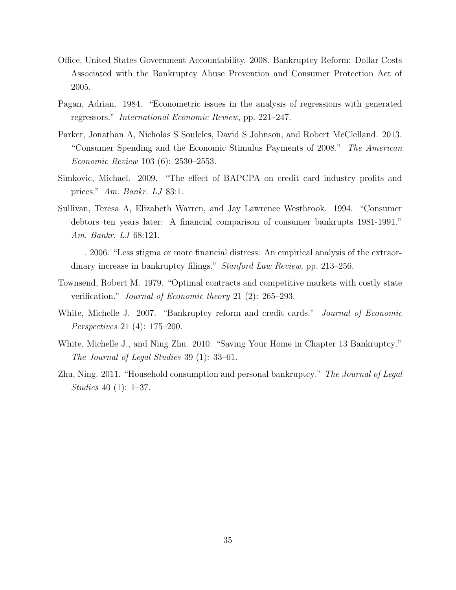- Office, United States Government Accountability. 2008. Bankruptcy Reform: Dollar Costs Associated with the Bankruptcy Abuse Prevention and Consumer Protection Act of 2005.
- <span id="page-35-5"></span>Pagan, Adrian. 1984. "Econometric issues in the analysis of regressions with generated regressors." International Economic Review, pp. 221–247.
- <span id="page-35-3"></span>Parker, Jonathan A, Nicholas S Souleles, David S Johnson, and Robert McClelland. 2013. "Consumer Spending and the Economic Stimulus Payments of 2008." The American Economic Review 103 (6): 2530–2553.
- <span id="page-35-7"></span>Simkovic, Michael. 2009. "The effect of BAPCPA on credit card industry profits and prices." Am. Bankr. LJ 83:1.
- <span id="page-35-1"></span>Sullivan, Teresa A, Elizabeth Warren, and Jay Lawrence Westbrook. 1994. "Consumer debtors ten years later: A financial comparison of consumer bankrupts 1981-1991." Am. Bankr. LJ 68:121.
- <span id="page-35-2"></span>. 2006. "Less stigma or more financial distress: An empirical analysis of the extraordinary increase in bankruptcy filings." Stanford Law Review, pp. 213-256.
- <span id="page-35-8"></span>Townsend, Robert M. 1979. "Optimal contracts and competitive markets with costly state verification." Journal of Economic theory 21 (2): 265–293.
- <span id="page-35-0"></span>White, Michelle J. 2007. "Bankruptcy reform and credit cards." *Journal of Economic* Perspectives 21 (4): 175–200.
- <span id="page-35-6"></span>White, Michelle J., and Ning Zhu. 2010. "Saving Your Home in Chapter 13 Bankruptcy." The Journal of Legal Studies 39 (1): 33–61.
- <span id="page-35-4"></span>Zhu, Ning. 2011. "Household consumption and personal bankruptcy." The Journal of Legal Studies 40 (1): 1–37.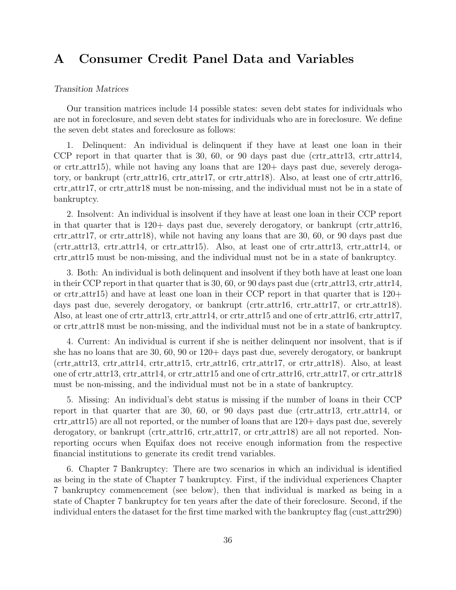# <span id="page-36-0"></span>A Consumer Credit Panel Data and Variables

#### Transition Matrices

Our transition matrices include 14 possible states: seven debt states for individuals who are not in foreclosure, and seven debt states for individuals who are in foreclosure. We define the seven debt states and foreclosure as follows:

1. Delinquent: An individual is delinquent if they have at least one loan in their CCP report in that quarter that is 30, 60, or 90 days past due (crtr\_attr13, crtr\_attr14, or crtr attr $15$ ), while not having any loans that are  $120+$  days past due, severely derogatory, or bankrupt (crtr attr16, crtr attr17, or crtr attr18). Also, at least one of crtr attr16, crtr attr17, or crtr attr18 must be non-missing, and the individual must not be in a state of bankruptcy.

2. Insolvent: An individual is insolvent if they have at least one loan in their CCP report in that quarter that is  $120+$  days past due, severely derogatory, or bankrupt (crtr\_attr16, crtr attr17, or crtr attr18), while not having any loans that are 30, 60, or 90 days past due  $(\text{crtr}_\text{attr13}, \text{crtr}_\text{attr14}, \text{or } \text{crtr}_\text{attr15}).$  Also, at least one of  $\text{crtr}_\text{attr13}, \text{crtr}_\text{attr14}, \text{or } \text{crtr}_\text{at}$ crtr attr15 must be non-missing, and the individual must not be in a state of bankruptcy.

3. Both: An individual is both delinquent and insolvent if they both have at least one loan in their CCP report in that quarter that is 30, 60, or 90 days past due (crtr\_attr13, crtr\_attr14, or crtr attr<sup>15</sup>) and have at least one loan in their CCP report in that quarter that is  $120+$ days past due, severely derogatory, or bankrupt (crtr\_attr16, crtr\_attr17, or crtr\_attr18). Also, at least one of crtr\_attr13, crtr\_attr14, or crtr\_attr15 and one of crtr\_attr16, crtr\_attr17, or crtr attr18 must be non-missing, and the individual must not be in a state of bankruptcy.

4. Current: An individual is current if she is neither delinquent nor insolvent, that is if she has no loans that are 30, 60, 90 or 120+ days past due, severely derogatory, or bankrupt (crtr attr13, crtr attr14, crtr attr15, crtr attr16, crtr attr17, or crtr attr18). Also, at least one of crtr attr13, crtr attr14, or crtr attr15 and one of crtr attr16, crtr attr17, or crtr attr18 must be non-missing, and the individual must not be in a state of bankruptcy.

5. Missing: An individual's debt status is missing if the number of loans in their CCP report in that quarter that are  $30, 60,$  or  $90$  days past due (crtr\_attr13, crtr\_attr14, or crtr attr15) are all not reported, or the number of loans that are 120+ days past due, severely derogatory, or bankrupt (crtr\_attr16, crtr\_attr17, or crtr\_attr18) are all not reported. Nonreporting occurs when Equifax does not receive enough information from the respective financial institutions to generate its credit trend variables.

6. Chapter 7 Bankruptcy: There are two scenarios in which an individual is identified as being in the state of Chapter 7 bankruptcy. First, if the individual experiences Chapter 7 bankruptcy commencement (see below), then that individual is marked as being in a state of Chapter 7 bankruptcy for ten years after the date of their foreclosure. Second, if the individual enters the dataset for the first time marked with the bankruptcy flag (cust attr290)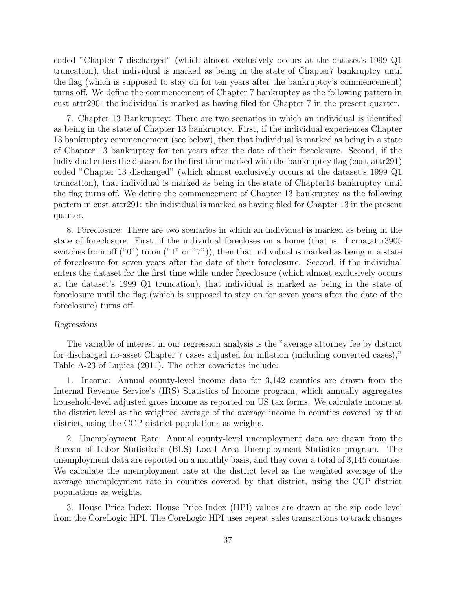coded "Chapter 7 discharged" (which almost exclusively occurs at the dataset's 1999 Q1 truncation), that individual is marked as being in the state of Chapter7 bankruptcy until the flag (which is supposed to stay on for ten years after the bankruptcy's commencement) turns off. We define the commencement of Chapter 7 bankruptcy as the following pattern in cust attr290: the individual is marked as having filed for Chapter 7 in the present quarter.

7. Chapter 13 Bankruptcy: There are two scenarios in which an individual is identified as being in the state of Chapter 13 bankruptcy. First, if the individual experiences Chapter 13 bankruptcy commencement (see below), then that individual is marked as being in a state of Chapter 13 bankruptcy for ten years after the date of their foreclosure. Second, if the individual enters the dataset for the first time marked with the bankruptcy flag (cust attr291) coded "Chapter 13 discharged" (which almost exclusively occurs at the dataset's 1999 Q1 truncation), that individual is marked as being in the state of Chapter13 bankruptcy until the flag turns off. We define the commencement of Chapter 13 bankruptcy as the following pattern in cust attr291: the individual is marked as having filed for Chapter 13 in the present quarter.

8. Foreclosure: There are two scenarios in which an individual is marked as being in the state of foreclosure. First, if the individual forecloses on a home (that is, if cma attr3905 switches from off  $("0")$  to on  $("1" or "7")$ , then that individual is marked as being in a state of foreclosure for seven years after the date of their foreclosure. Second, if the individual enters the dataset for the first time while under foreclosure (which almost exclusively occurs at the dataset's 1999 Q1 truncation), that individual is marked as being in the state of foreclosure until the flag (which is supposed to stay on for seven years after the date of the foreclosure) turns off.

#### Regressions

The variable of interest in our regression analysis is the "average attorney fee by district for discharged no-asset Chapter 7 cases adjusted for inflation (including converted cases)," Table A-23 of Lupica (2011). The other covariates include:

1. Income: Annual county-level income data for 3,142 counties are drawn from the Internal Revenue Service's (IRS) Statistics of Income program, which annually aggregates household-level adjusted gross income as reported on US tax forms. We calculate income at the district level as the weighted average of the average income in counties covered by that district, using the CCP district populations as weights.

2. Unemployment Rate: Annual county-level unemployment data are drawn from the Bureau of Labor Statistics's (BLS) Local Area Unemployment Statistics program. The unemployment data are reported on a monthly basis, and they cover a total of 3,145 counties. We calculate the unemployment rate at the district level as the weighted average of the average unemployment rate in counties covered by that district, using the CCP district populations as weights.

3. House Price Index: House Price Index (HPI) values are drawn at the zip code level from the CoreLogic HPI. The CoreLogic HPI uses repeat sales transactions to track changes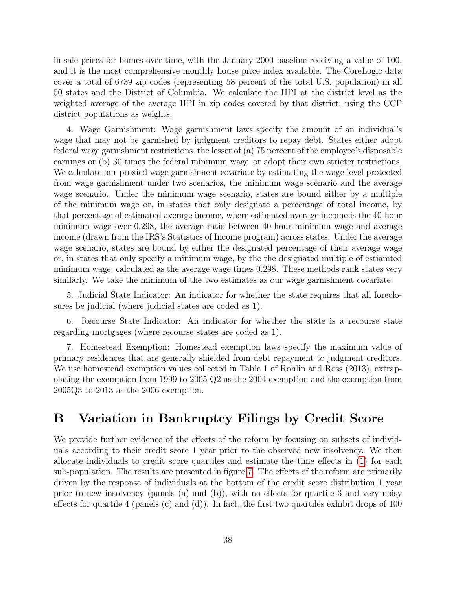in sale prices for homes over time, with the January 2000 baseline receiving a value of 100, and it is the most comprehensive monthly house price index available. The CoreLogic data cover a total of 6739 zip codes (representing 58 percent of the total U.S. population) in all 50 states and the District of Columbia. We calculate the HPI at the district level as the weighted average of the average HPI in zip codes covered by that district, using the CCP district populations as weights.

4. Wage Garnishment: Wage garnishment laws specify the amount of an individual's wage that may not be garnished by judgment creditors to repay debt. States either adopt federal wage garnishment restrictions–the lesser of (a) 75 percent of the employee's disposable earnings or (b) 30 times the federal minimum wage–or adopt their own stricter restrictions. We calculate our proxied wage garnishment covariate by estimating the wage level protected from wage garnishment under two scenarios, the minimum wage scenario and the average wage scenario. Under the minimum wage scenario, states are bound either by a multiple of the minimum wage or, in states that only designate a percentage of total income, by that percentage of estimated average income, where estimated average income is the 40-hour minimum wage over 0.298, the average ratio between 40-hour minimum wage and average income (drawn from the IRS's Statistics of Income program) across states. Under the average wage scenario, states are bound by either the designated percentage of their average wage or, in states that only specify a minimum wage, by the the designated multiple of estiamted minimum wage, calculated as the average wage times 0.298. These methods rank states very similarly. We take the minimum of the two estimates as our wage garnishment covariate.

5. Judicial State Indicator: An indicator for whether the state requires that all foreclosures be judicial (where judicial states are coded as 1).

6. Recourse State Indicator: An indicator for whether the state is a recourse state regarding mortgages (where recourse states are coded as 1).

7. Homestead Exemption: Homestead exemption laws specify the maximum value of primary residences that are generally shielded from debt repayment to judgment creditors. We use homestead exemption values collected in Table 1 of Rohlin and Ross (2013), extrapolating the exemption from 1999 to 2005 Q2 as the 2004 exemption and the exemption from 2005Q3 to 2013 as the 2006 exemption.

## <span id="page-38-0"></span>B Variation in Bankruptcy Filings by Credit Score

We provide further evidence of the effects of the reform by focusing on subsets of individuals according to their credit score 1 year prior to the observed new insolvency. We then allocate individuals to credit score quartiles and estimate the time effects in [\(1\)](#page-11-2) for each sub-population. The results are presented in figure [7.](#page-39-0) The effects of the reform are primarily driven by the response of individuals at the bottom of the credit score distribution 1 year prior to new insolvency (panels (a) and (b)), with no effects for quartile 3 and very noisy effects for quartile 4 (panels (c) and (d)). In fact, the first two quartiles exhibit drops of 100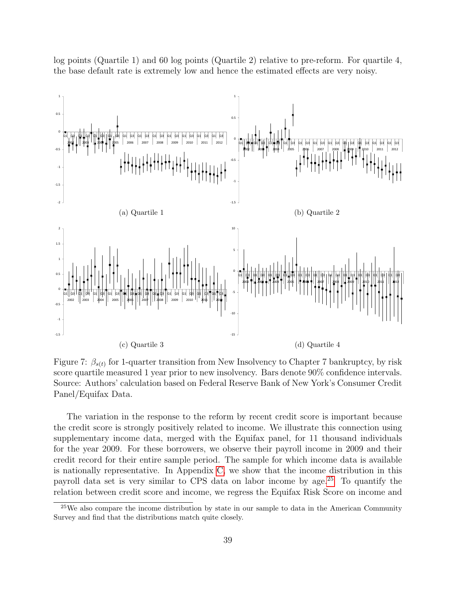log points (Quartile 1) and 60 log points (Quartile 2) relative to pre-reform. For quartile 4, the base default rate is extremely low and hence the estimated effects are very noisy.

<span id="page-39-0"></span>

Figure 7:  $\beta_{s(t)}$  for 1-quarter transition from New Insolvency to Chapter 7 bankruptcy, by risk score quartile measured 1 year prior to new insolvency. Bars denote 90% confidence intervals. Source: Authors' calculation based on Federal Reserve Bank of New York's Consumer Credit Panel/Equifax Data.

The variation in the response to the reform by recent credit score is important because the credit score is strongly positively related to income. We illustrate this connection using supplementary income data, merged with the Equifax panel, for 11 thousand individuals for the year 2009. For these borrowers, we observe their payroll income in 2009 and their credit record for their entire sample period. The sample for which income data is available is nationally representative. In Appendix [C,](#page-40-0) we show that the income distribution in this payroll data set is very similar to CPS data on labor income by age.[25](#page-39-1) To quantify the relation between credit score and income, we regress the Equifax Risk Score on income and

<span id="page-39-1"></span> $25$ We also compare the income distribution by state in our sample to data in the American Community Survey and find that the distributions match quite closely.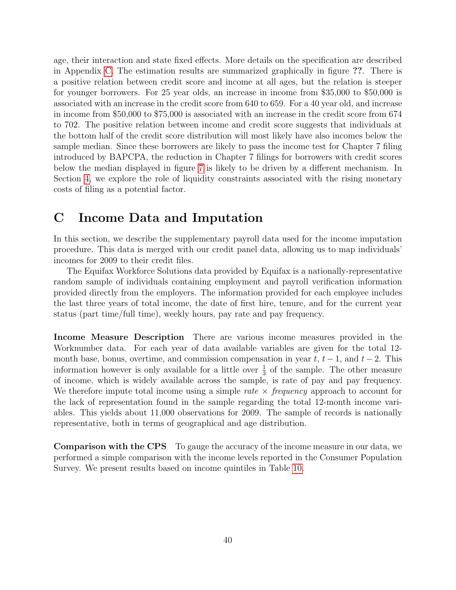age, their interaction and state fixed effects. More details on the specification are described in Appendix [C.](#page-40-0) The estimation results are summarized graphically in figure ??. There is a positive relation between credit score and income at all ages, but the relation is steeper for younger borrowers. For 25 year olds, an increase in income from \$35,000 to \$50,000 is associated with an increase in the credit score from 640 to 659. For a 40 year old, and increase in income from \$50,000 to \$75,000 is associated with an increase in the credit score from 674 to 702. The positive relation between income and credit score suggests that individuals at the bottom half of the credit score distribution will most likely have also incomes below the sample median. Since these borrowers are likely to pass the income test for Chapter 7 filing introduced by BAPCPA, the reduction in Chapter 7 filings for borrowers with credit scores below the median displayed in figure [7](#page-39-0) is likely to be driven by a different mechanism. In Section [4,](#page-13-0) we explore the role of liquidity constraints associated with the rising monetary costs of filing as a potential factor.

# <span id="page-40-0"></span>C Income Data and Imputation

In this section, we describe the supplementary payroll data used for the income imputation procedure. This data is merged with our credit panel data, allowing us to map individuals' incomes for 2009 to their credit files.

The Equifax Workforce Solutions data provided by Equifax is a nationally-representative random sample of individuals containing employment and payroll verification information provided directly from the employers. The information provided for each employee includes the last three years of total income, the date of first hire, tenure, and for the current year status (part time/full time), weekly hours, pay rate and pay frequency.

Income Measure Description There are various income measures provided in the Worknumber data. For each year of data available variables are given for the total 12 month base, bonus, overtime, and commission compensation in year  $t, t - 1$ , and  $t - 2$ . This information however is only available for a little over  $\frac{1}{3}$  of the sample. The other measure of income, which is widely available across the sample, is rate of pay and pay frequency. We therefore impute total income using a simple rate  $\times$  frequency approach to account for the lack of representation found in the sample regarding the total 12-month income variables. This yields about 11,000 observations for 2009. The sample of records is nationally representative, both in terms of geographical and age distribution.

Comparison with the CPS To gauge the accuracy of the income measure in our data, we performed a simple comparison with the income levels reported in the Consumer Population Survey. We present results based on income quintiles in Table [10.](#page-41-0)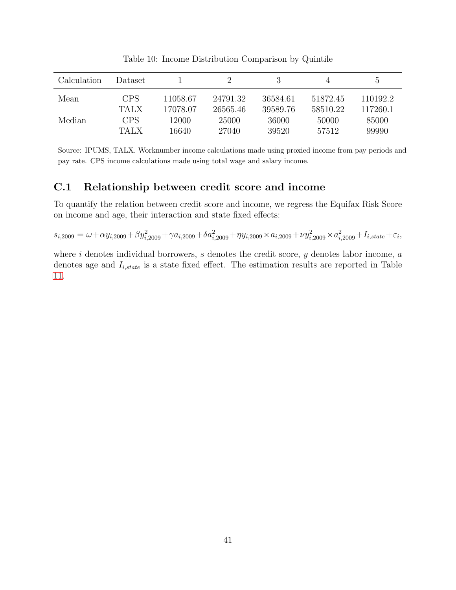<span id="page-41-0"></span>

| <b>Calculation</b> | Dataset     |          |          |          |          | $\ddot{o}$ |
|--------------------|-------------|----------|----------|----------|----------|------------|
| Mean               | <b>CPS</b>  | 11058.67 | 24791.32 | 36584.61 | 51872.45 | 110192.2   |
|                    | <b>TALX</b> | 17078.07 | 26565.46 | 39589.76 | 58510.22 | 117260.1   |
| Median             | <b>CPS</b>  | 12000    | 25000    | 36000    | 50000    | 85000      |
|                    | <b>TALX</b> | 16640    | 27040    | 39520    | 57512    | 99990      |

Table 10: Income Distribution Comparison by Quintile

Source: IPUMS, TALX. Worknumber income calculations made using proxied income from pay periods and pay rate. CPS income calculations made using total wage and salary income.

#### C.1 Relationship between credit score and income

To quantify the relation between credit score and income, we regress the Equifax Risk Score on income and age, their interaction and state fixed effects:

 $s_{i,2009} = \omega + \alpha y_{i,2009} + \beta y_{i,2009}^2 + \gamma a_{i,2009} + \delta a_{i,2009}^2 + \eta y_{i,2009} \times a_{i,2009} + \nu y_{i,2009}^2 \times a_{i,2009}^2 + I_{i,state} + \varepsilon_i,$ 

where  $i$  denotes individual borrowers,  $s$  denotes the credit score,  $y$  denotes labor income,  $a$ denotes age and  $I_{i,state}$  is a state fixed effect. The estimation results are reported in Table [11.](#page-42-0)